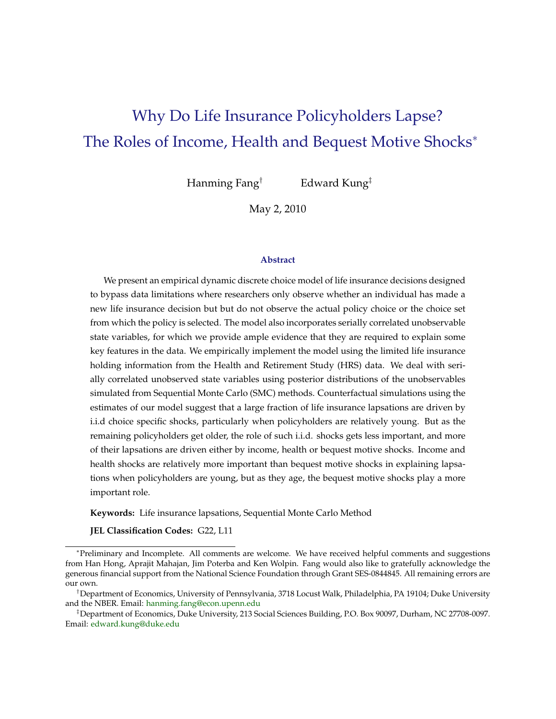# Why Do Life Insurance Policyholders Lapse? The Roles of Income, Health and Bequest Motive Shocks<sup>∗</sup>

Hanming Fang† Edward Kung‡

May 2, 2010

#### **Abstract**

We present an empirical dynamic discrete choice model of life insurance decisions designed to bypass data limitations where researchers only observe whether an individual has made a new life insurance decision but but do not observe the actual policy choice or the choice set from which the policy is selected. The model also incorporates serially correlated unobservable state variables, for which we provide ample evidence that they are required to explain some key features in the data. We empirically implement the model using the limited life insurance holding information from the Health and Retirement Study (HRS) data. We deal with serially correlated unobserved state variables using posterior distributions of the unobservables simulated from Sequential Monte Carlo (SMC) methods. Counterfactual simulations using the estimates of our model suggest that a large fraction of life insurance lapsations are driven by i.i.d choice specific shocks, particularly when policyholders are relatively young. But as the remaining policyholders get older, the role of such i.i.d. shocks gets less important, and more of their lapsations are driven either by income, health or bequest motive shocks. Income and health shocks are relatively more important than bequest motive shocks in explaining lapsations when policyholders are young, but as they age, the bequest motive shocks play a more important role.

**Keywords:** Life insurance lapsations, Sequential Monte Carlo Method

**JEL Classification Codes:** G22, L11

<sup>∗</sup>Preliminary and Incomplete. All comments are welcome. We have received helpful comments and suggestions from Han Hong, Aprajit Mahajan, Jim Poterba and Ken Wolpin. Fang would also like to gratefully acknowledge the generous financial support from the National Science Foundation through Grant SES-0844845. All remaining errors are our own.

<sup>†</sup>Department of Economics, University of Pennsylvania, 3718 Locust Walk, Philadelphia, PA 19104; Duke University and the NBER. Email: [hanming.fang@econ.upenn.edu](mailto:hanming.fang@econ.upenn.edu)

<sup>‡</sup>Department of Economics, Duke University, 213 Social Sciences Building, P.O. Box 90097, Durham, NC 27708-0097. Email: [edward.kung@duke.edu](mailto:edward.kung@duke.edu)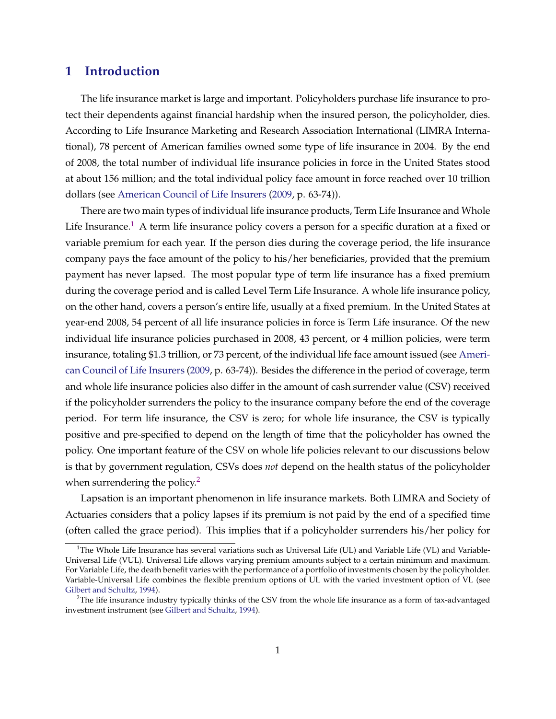### **1 Introduction**

The life insurance market is large and important. Policyholders purchase life insurance to protect their dependents against financial hardship when the insured person, the policyholder, dies. According to Life Insurance Marketing and Research Association International (LIMRA International), 78 percent of American families owned some type of life insurance in 2004. By the end of 2008, the total number of individual life insurance policies in force in the United States stood at about 156 million; and the total individual policy face amount in force reached over 10 trillion dollars (see [American Council of Life Insurers](#page-45-0) [\(2009,](#page-45-0) p. 63-74)).

There are two main types of individual life insurance products, Term Life Insurance and Whole Life Insurance.<sup>1</sup> A term life insurance policy covers a person for a specific duration at a fixed or variable premium for each year. If the person dies during the coverage period, the life insurance company pays the face amount of the policy to his/her beneficiaries, provided that the premium payment has never lapsed. The most popular type of term life insurance has a fixed premium during the coverage period and is called Level Term Life Insurance. A whole life insurance policy, on the other hand, covers a person's entire life, usually at a fixed premium. In the United States at year-end 2008, 54 percent of all life insurance policies in force is Term Life insurance. Of the new individual life insurance policies purchased in 2008, 43 percent, or 4 million policies, were term insurance, totaling \$1.3 trillion, or 73 percent, of the individual life face amount issued (see [Ameri](#page-45-0)[can Council of Life Insurers](#page-45-0) [\(2009,](#page-45-0) p. 63-74)). Besides the difference in the period of coverage, term and whole life insurance policies also differ in the amount of cash surrender value (CSV) received if the policyholder surrenders the policy to the insurance company before the end of the coverage period. For term life insurance, the CSV is zero; for whole life insurance, the CSV is typically positive and pre-specified to depend on the length of time that the policyholder has owned the policy. One important feature of the CSV on whole life policies relevant to our discussions below is that by government regulation, CSVs does *not* depend on the health status of the policyholder when surrendering the policy.<sup>2</sup>

Lapsation is an important phenomenon in life insurance markets. Both LIMRA and Society of Actuaries considers that a policy lapses if its premium is not paid by the end of a specified time (often called the grace period). This implies that if a policyholder surrenders his/her policy for

<sup>&</sup>lt;sup>1</sup>The Whole Life Insurance has several variations such as Universal Life (UL) and Variable Life (VL) and Variable-Universal Life (VUL). Universal Life allows varying premium amounts subject to a certain minimum and maximum. For Variable Life, the death benefit varies with the performance of a portfolio of investments chosen by the policyholder. Variable-Universal Life combines the flexible premium options of UL with the varied investment option of VL (see [Gilbert and Schultz,](#page-46-0) [1994\)](#page-46-0).

 $2$ The life insurance industry typically thinks of the CSV from the whole life insurance as a form of tax-advantaged investment instrument (see [Gilbert and Schultz,](#page-46-0) [1994\)](#page-46-0).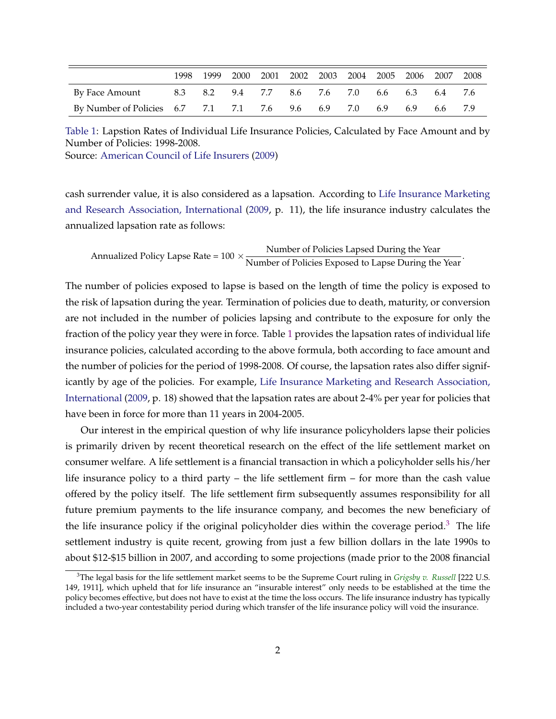<span id="page-2-0"></span>

|                                                   | 1998. | 1999 |  | 2000 2001 2002 2003 2004 2005 2006 2007 |  |         |         | 2008 |
|---------------------------------------------------|-------|------|--|-----------------------------------------|--|---------|---------|------|
| By Face Amount                                    |       |      |  | 8.3 8.2 9.4 7.7 8.6 7.6 7.0 6.6 6.3     |  |         | 6.4 7.6 |      |
| By Number of Policies 6.7 7.1 7.1 7.6 9.6 6.9 7.0 |       |      |  |                                         |  | 6.9 6.9 | 6.6     |      |

Table 1: Lapstion Rates of Individual Life Insurance Policies, Calculated by Face Amount and by Number of Policies: 1998-2008.

Source: [American Council of Life Insurers](#page-45-0) [\(2009\)](#page-45-0)

cash surrender value, it is also considered as a lapsation. According to [Life Insurance Marketing](#page-46-0) [and Research Association, International](#page-46-0) [\(2009,](#page-46-0) p. 11), the life insurance industry calculates the annualized lapsation rate as follows:

Annualized Policy Lapse Rate =  $100 \times \frac{\text{Number of policies Lapsed During the Year}}{\text{Number of Physics Lapsed During the } \frac{1}{200}}$ Number of Policies Exposed to Lapse During the Year.

The number of policies exposed to lapse is based on the length of time the policy is exposed to the risk of lapsation during the year. Termination of policies due to death, maturity, or conversion are not included in the number of policies lapsing and contribute to the exposure for only the fraction of the policy year they were in force. Table 1 provides the lapsation rates of individual life insurance policies, calculated according to the above formula, both according to face amount and the number of policies for the period of 1998-2008. Of course, the lapsation rates also differ significantly by age of the policies. For example, [Life Insurance Marketing and Research Association,](#page-46-0) [International](#page-46-0) [\(2009,](#page-46-0) p. 18) showed that the lapsation rates are about 2-4% per year for policies that have been in force for more than 11 years in 2004-2005.

Our interest in the empirical question of why life insurance policyholders lapse their policies is primarily driven by recent theoretical research on the effect of the life settlement market on consumer welfare. A life settlement is a financial transaction in which a policyholder sells his/her life insurance policy to a third party – the life settlement firm – for more than the cash value offered by the policy itself. The life settlement firm subsequently assumes responsibility for all future premium payments to the life insurance company, and becomes the new beneficiary of the life insurance policy if the original policyholder dies within the coverage period.<sup>3</sup> The life settlement industry is quite recent, growing from just a few billion dollars in the late 1990s to about \$12-\$15 billion in 2007, and according to some projections (made prior to the 2008 financial

<sup>3</sup>The legal basis for the life settlement market seems to be the Supreme Court ruling in *[Grigsby v. Russell](http://supreme.justia.com/us/222/149/case.html)* [222 U.S. 149, 1911], which upheld that for life insurance an "insurable interest" only needs to be established at the time the policy becomes effective, but does not have to exist at the time the loss occurs. The life insurance industry has typically included a two-year contestability period during which transfer of the life insurance policy will void the insurance.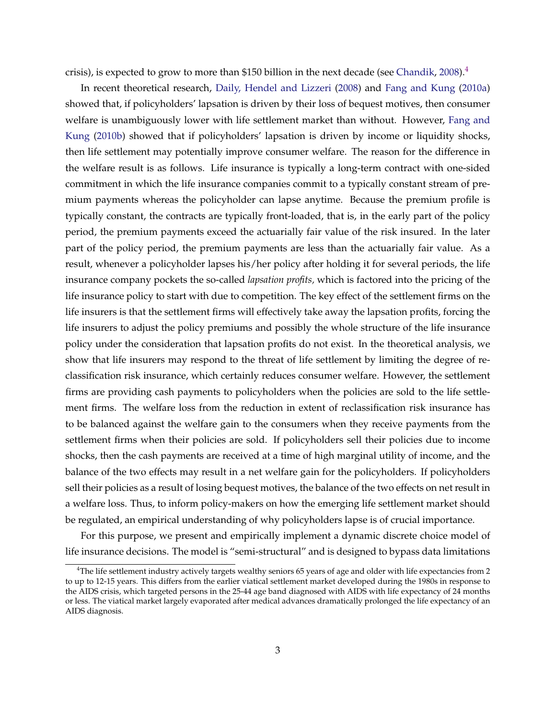crisis), is expected to grow to more than \$150 billion in the next decade (see [Chandik,](#page-45-0)  $2008$ ).<sup>4</sup>

In recent theoretical research, [Daily, Hendel and Lizzeri](#page-45-0) [\(2008\)](#page-45-0) and [Fang and Kung](#page-45-0) [\(2010a\)](#page-45-0) showed that, if policyholders' lapsation is driven by their loss of bequest motives, then consumer welfare is unambiguously lower with life settlement market than without. However, [Fang and](#page-45-0) [Kung](#page-45-0) [\(2010b\)](#page-45-0) showed that if policyholders' lapsation is driven by income or liquidity shocks, then life settlement may potentially improve consumer welfare. The reason for the difference in the welfare result is as follows. Life insurance is typically a long-term contract with one-sided commitment in which the life insurance companies commit to a typically constant stream of premium payments whereas the policyholder can lapse anytime. Because the premium profile is typically constant, the contracts are typically front-loaded, that is, in the early part of the policy period, the premium payments exceed the actuarially fair value of the risk insured. In the later part of the policy period, the premium payments are less than the actuarially fair value. As a result, whenever a policyholder lapses his/her policy after holding it for several periods, the life insurance company pockets the so-called *lapsation profits,* which is factored into the pricing of the life insurance policy to start with due to competition. The key effect of the settlement firms on the life insurers is that the settlement firms will effectively take away the lapsation profits, forcing the life insurers to adjust the policy premiums and possibly the whole structure of the life insurance policy under the consideration that lapsation profits do not exist. In the theoretical analysis, we show that life insurers may respond to the threat of life settlement by limiting the degree of reclassification risk insurance, which certainly reduces consumer welfare. However, the settlement firms are providing cash payments to policyholders when the policies are sold to the life settlement firms. The welfare loss from the reduction in extent of reclassification risk insurance has to be balanced against the welfare gain to the consumers when they receive payments from the settlement firms when their policies are sold. If policyholders sell their policies due to income shocks, then the cash payments are received at a time of high marginal utility of income, and the balance of the two effects may result in a net welfare gain for the policyholders. If policyholders sell their policies as a result of losing bequest motives, the balance of the two effects on net result in a welfare loss. Thus, to inform policy-makers on how the emerging life settlement market should be regulated, an empirical understanding of why policyholders lapse is of crucial importance.

For this purpose, we present and empirically implement a dynamic discrete choice model of life insurance decisions. The model is "semi-structural" and is designed to bypass data limitations

<sup>&</sup>lt;sup>4</sup>The life settlement industry actively targets wealthy seniors 65 years of age and older with life expectancies from 2 to up to 12-15 years. This differs from the earlier viatical settlement market developed during the 1980s in response to the AIDS crisis, which targeted persons in the 25-44 age band diagnosed with AIDS with life expectancy of 24 months or less. The viatical market largely evaporated after medical advances dramatically prolonged the life expectancy of an AIDS diagnosis.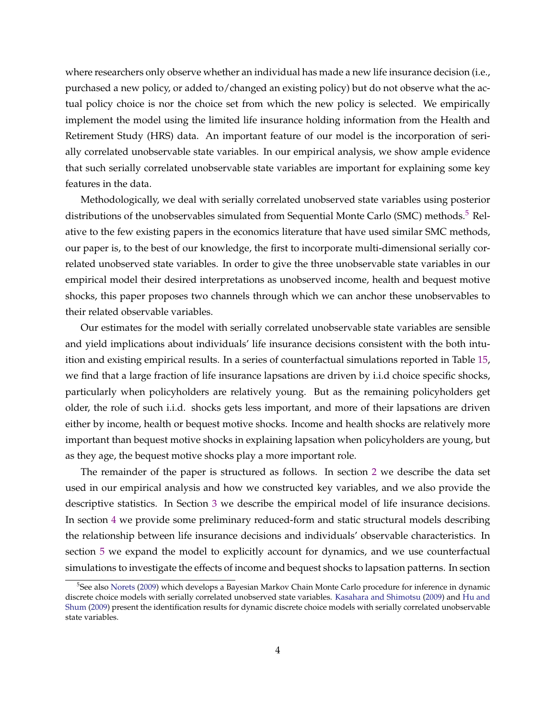where researchers only observe whether an individual has made a new life insurance decision (i.e., purchased a new policy, or added to/changed an existing policy) but do not observe what the actual policy choice is nor the choice set from which the new policy is selected. We empirically implement the model using the limited life insurance holding information from the Health and Retirement Study (HRS) data. An important feature of our model is the incorporation of serially correlated unobservable state variables. In our empirical analysis, we show ample evidence that such serially correlated unobservable state variables are important for explaining some key features in the data.

Methodologically, we deal with serially correlated unobserved state variables using posterior distributions of the unobservables simulated from Sequential Monte Carlo (SMC) methods.<sup>5</sup> Relative to the few existing papers in the economics literature that have used similar SMC methods, our paper is, to the best of our knowledge, the first to incorporate multi-dimensional serially correlated unobserved state variables. In order to give the three unobservable state variables in our empirical model their desired interpretations as unobserved income, health and bequest motive shocks, this paper proposes two channels through which we can anchor these unobservables to their related observable variables.

Our estimates for the model with serially correlated unobservable state variables are sensible and yield implications about individuals' life insurance decisions consistent with the both intuition and existing empirical results. In a series of counterfactual simulations reported in Table [15,](#page-41-0) we find that a large fraction of life insurance lapsations are driven by i.i.d choice specific shocks, particularly when policyholders are relatively young. But as the remaining policyholders get older, the role of such i.i.d. shocks gets less important, and more of their lapsations are driven either by income, health or bequest motive shocks. Income and health shocks are relatively more important than bequest motive shocks in explaining lapsation when policyholders are young, but as they age, the bequest motive shocks play a more important role.

The remainder of the paper is structured as follows. In section [2](#page-5-0) we describe the data set used in our empirical analysis and how we constructed key variables, and we also provide the descriptive statistics. In Section [3](#page-13-0) we describe the empirical model of life insurance decisions. In section [4](#page-19-0) we provide some preliminary reduced-form and static structural models describing the relationship between life insurance decisions and individuals' observable characteristics. In section [5](#page-24-0) we expand the model to explicitly account for dynamics, and we use counterfactual simulations to investigate the effects of income and bequest shocks to lapsation patterns. In section

<sup>5</sup> See also [Norets](#page-46-0) [\(2009\)](#page-46-0) which develops a Bayesian Markov Chain Monte Carlo procedure for inference in dynamic discrete choice models with serially correlated unobserved state variables. [Kasahara and Shimotsu](#page-46-0) [\(2009\)](#page-46-0) and [Hu and](#page-46-0) [Shum](#page-46-0) [\(2009\)](#page-46-0) present the identification results for dynamic discrete choice models with serially correlated unobservable state variables.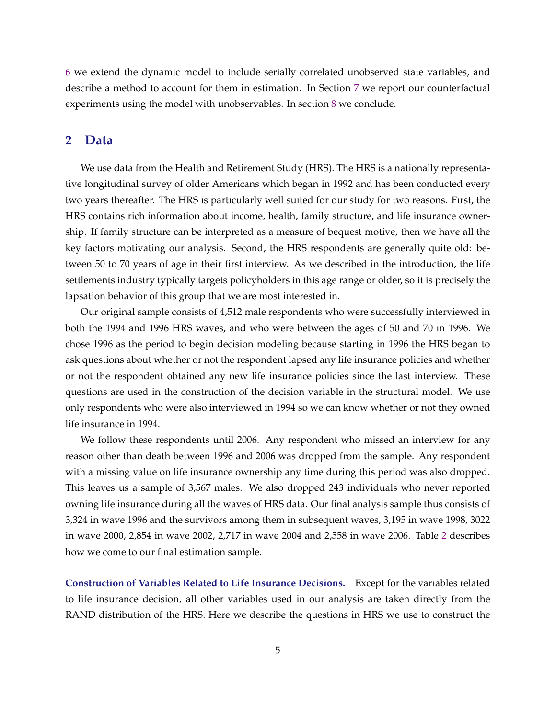<span id="page-5-0"></span>[6](#page-30-0) we extend the dynamic model to include serially correlated unobserved state variables, and describe a method to account for them in estimation. In Section [7](#page-38-0) we report our counterfactual experiments using the model with unobservables. In section [8](#page-43-0) we conclude.

### **2 Data**

We use data from the Health and Retirement Study (HRS). The HRS is a nationally representative longitudinal survey of older Americans which began in 1992 and has been conducted every two years thereafter. The HRS is particularly well suited for our study for two reasons. First, the HRS contains rich information about income, health, family structure, and life insurance ownership. If family structure can be interpreted as a measure of bequest motive, then we have all the key factors motivating our analysis. Second, the HRS respondents are generally quite old: between 50 to 70 years of age in their first interview. As we described in the introduction, the life settlements industry typically targets policyholders in this age range or older, so it is precisely the lapsation behavior of this group that we are most interested in.

Our original sample consists of 4,512 male respondents who were successfully interviewed in both the 1994 and 1996 HRS waves, and who were between the ages of 50 and 70 in 1996. We chose 1996 as the period to begin decision modeling because starting in 1996 the HRS began to ask questions about whether or not the respondent lapsed any life insurance policies and whether or not the respondent obtained any new life insurance policies since the last interview. These questions are used in the construction of the decision variable in the structural model. We use only respondents who were also interviewed in 1994 so we can know whether or not they owned life insurance in 1994.

We follow these respondents until 2006. Any respondent who missed an interview for any reason other than death between 1996 and 2006 was dropped from the sample. Any respondent with a missing value on life insurance ownership any time during this period was also dropped. This leaves us a sample of 3,567 males. We also dropped 243 individuals who never reported owning life insurance during all the waves of HRS data. Our final analysis sample thus consists of 3,324 in wave 1996 and the survivors among them in subsequent waves, 3,195 in wave 1998, 3022 in wave 2000, 2,854 in wave 2002, 2,717 in wave 2004 and 2,558 in wave 2006. Table [2](#page-6-0) describes how we come to our final estimation sample.

**Construction of Variables Related to Life Insurance Decisions.** Except for the variables related to life insurance decision, all other variables used in our analysis are taken directly from the RAND distribution of the HRS. Here we describe the questions in HRS we use to construct the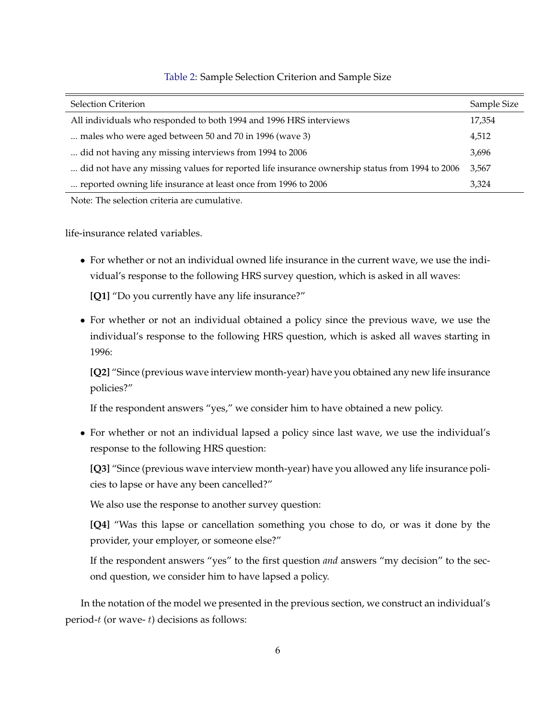<span id="page-6-0"></span>

| <b>Selection Criterion</b>                                                                     | Sample Size |
|------------------------------------------------------------------------------------------------|-------------|
| All individuals who responded to both 1994 and 1996 HRS interviews                             | 17,354      |
| males who were aged between 50 and 70 in 1996 (wave 3)                                         | 4,512       |
| did not having any missing interviews from 1994 to 2006                                        | 3,696       |
| did not have any missing values for reported life insurance ownership status from 1994 to 2006 | 3,567       |
| reported owning life insurance at least once from 1996 to 2006                                 | 3.324       |

### Table 2: Sample Selection Criterion and Sample Size

Note: The selection criteria are cumulative.

life-insurance related variables.

∙ For whether or not an individual owned life insurance in the current wave, we use the individual's response to the following HRS survey question, which is asked in all waves:

**[Q1]** "Do you currently have any life insurance?"

∙ For whether or not an individual obtained a policy since the previous wave, we use the individual's response to the following HRS question, which is asked all waves starting in 1996:

**[Q2]** "Since (previous wave interview month-year) have you obtained any new life insurance policies?"

If the respondent answers "yes," we consider him to have obtained a new policy.

∙ For whether or not an individual lapsed a policy since last wave, we use the individual's response to the following HRS question:

**[Q3]** "Since (previous wave interview month-year) have you allowed any life insurance policies to lapse or have any been cancelled?"

We also use the response to another survey question:

**[Q4]** "Was this lapse or cancellation something you chose to do, or was it done by the provider, your employer, or someone else?"

If the respondent answers "yes" to the first question *and* answers "my decision" to the second question, we consider him to have lapsed a policy.

In the notation of the model we presented in the previous section, we construct an individual's period- $t$  (or wave- $t$ ) decisions as follows: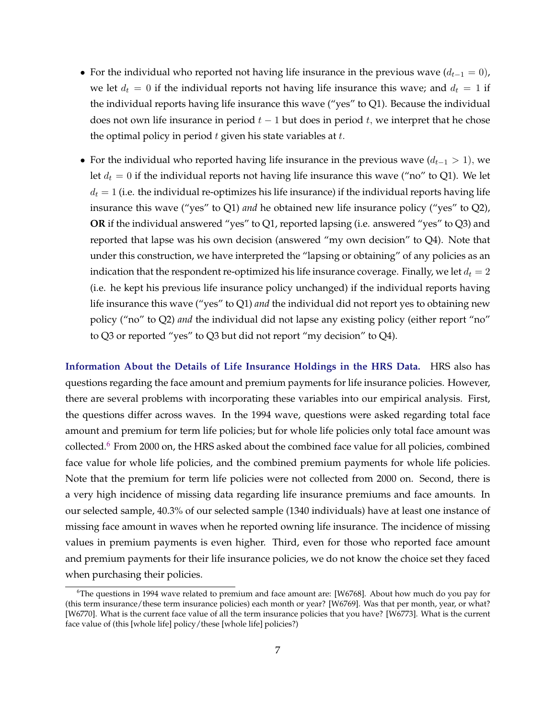- For the individual who reported not having life insurance in the previous wave  $(d_{t-1} = 0)$ , we let  $d_t = 0$  if the individual reports not having life insurance this wave; and  $d_t = 1$  if the individual reports having life insurance this wave ("yes" to Q1). Because the individual does not own life insurance in period  $t-1$  but does in period  $t$ , we interpret that he chose the optimal policy in period  $t$  given his state variables at  $t$ .
- For the individual who reported having life insurance in the previous wave  $(d_{t-1} > 1)$ , we let  $d_t = 0$  if the individual reports not having life insurance this wave ("no" to Q1). We let  $d_t = 1$  (i.e. the individual re-optimizes his life insurance) if the individual reports having life insurance this wave ("yes" to Q1) *and* he obtained new life insurance policy ("yes" to Q2), **OR** if the individual answered "yes" to Q1, reported lapsing (i.e. answered "yes" to Q3) and reported that lapse was his own decision (answered "my own decision" to Q4). Note that under this construction, we have interpreted the "lapsing or obtaining" of any policies as an indication that the respondent re-optimized his life insurance coverage. Finally, we let  $d_t = 2$ (i.e. he kept his previous life insurance policy unchanged) if the individual reports having life insurance this wave ("yes" to Q1) *and* the individual did not report yes to obtaining new policy ("no" to Q2) *and* the individual did not lapse any existing policy (either report "no" to Q3 or reported "yes" to Q3 but did not report "my decision" to Q4).

**Information About the Details of Life Insurance Holdings in the HRS Data.** HRS also has questions regarding the face amount and premium payments for life insurance policies. However, there are several problems with incorporating these variables into our empirical analysis. First, the questions differ across waves. In the 1994 wave, questions were asked regarding total face amount and premium for term life policies; but for whole life policies only total face amount was collected. $6$  From 2000 on, the HRS asked about the combined face value for all policies, combined face value for whole life policies, and the combined premium payments for whole life policies. Note that the premium for term life policies were not collected from 2000 on. Second, there is a very high incidence of missing data regarding life insurance premiums and face amounts. In our selected sample, 40.3% of our selected sample (1340 individuals) have at least one instance of missing face amount in waves when he reported owning life insurance. The incidence of missing values in premium payments is even higher. Third, even for those who reported face amount and premium payments for their life insurance policies, we do not know the choice set they faced when purchasing their policies.

 $6$ The questions in 1994 wave related to premium and face amount are: [W6768]. About how much do you pay for (this term insurance/these term insurance policies) each month or year? [W6769]. Was that per month, year, or what? [W6770]. What is the current face value of all the term insurance policies that you have? [W6773]. What is the current face value of (this [whole life] policy/these [whole life] policies?)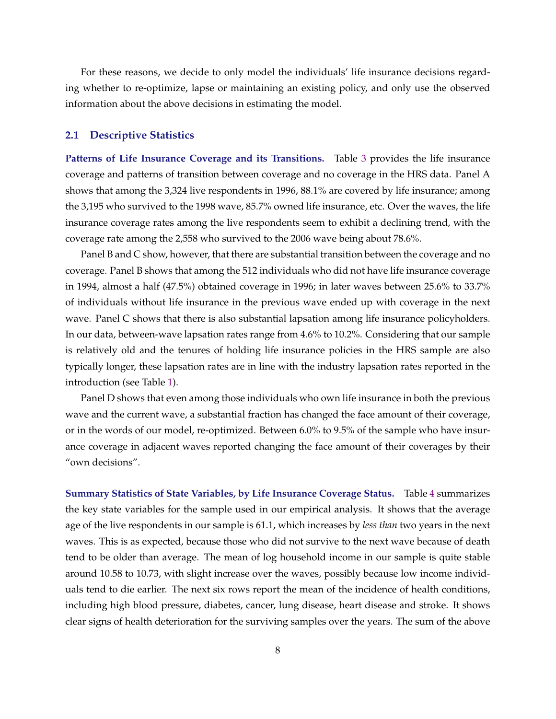For these reasons, we decide to only model the individuals' life insurance decisions regarding whether to re-optimize, lapse or maintaining an existing policy, and only use the observed information about the above decisions in estimating the model.

### **2.1 Descriptive Statistics**

**Patterns of Life Insurance Coverage and its Transitions.** Table [3](#page-9-0) provides the life insurance coverage and patterns of transition between coverage and no coverage in the HRS data. Panel A shows that among the 3,324 live respondents in 1996, 88.1% are covered by life insurance; among the 3,195 who survived to the 1998 wave, 85.7% owned life insurance, etc. Over the waves, the life insurance coverage rates among the live respondents seem to exhibit a declining trend, with the coverage rate among the 2,558 who survived to the 2006 wave being about 78.6%.

Panel B and C show, however, that there are substantial transition between the coverage and no coverage. Panel B shows that among the 512 individuals who did not have life insurance coverage in 1994, almost a half (47.5%) obtained coverage in 1996; in later waves between 25.6% to 33.7% of individuals without life insurance in the previous wave ended up with coverage in the next wave. Panel C shows that there is also substantial lapsation among life insurance policyholders. In our data, between-wave lapsation rates range from 4.6% to 10.2%. Considering that our sample is relatively old and the tenures of holding life insurance policies in the HRS sample are also typically longer, these lapsation rates are in line with the industry lapsation rates reported in the introduction (see Table [1\)](#page-2-0).

Panel D shows that even among those individuals who own life insurance in both the previous wave and the current wave, a substantial fraction has changed the face amount of their coverage, or in the words of our model, re-optimized. Between 6.0% to 9.5% of the sample who have insurance coverage in adjacent waves reported changing the face amount of their coverages by their "own decisions".

**Summary Statistics of State Variables, by Life Insurance Coverage Status.** Table [4](#page-10-0) summarizes the key state variables for the sample used in our empirical analysis. It shows that the average age of the live respondents in our sample is 61.1, which increases by *less than* two years in the next waves. This is as expected, because those who did not survive to the next wave because of death tend to be older than average. The mean of log household income in our sample is quite stable around 10.58 to 10.73, with slight increase over the waves, possibly because low income individuals tend to die earlier. The next six rows report the mean of the incidence of health conditions, including high blood pressure, diabetes, cancer, lung disease, heart disease and stroke. It shows clear signs of health deterioration for the surviving samples over the years. The sum of the above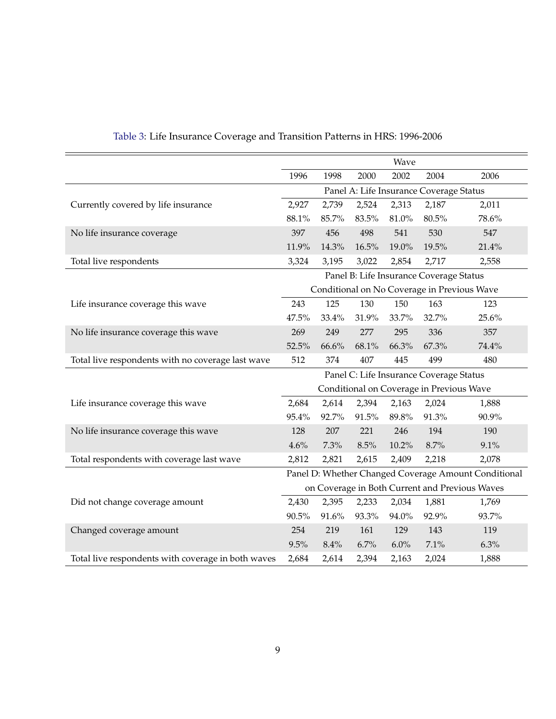<span id="page-9-0"></span>

|                                                    |       |       |       | Wave    |                                         |                                                      |
|----------------------------------------------------|-------|-------|-------|---------|-----------------------------------------|------------------------------------------------------|
|                                                    | 1996  | 1998  | 2000  | 2002    | 2004                                    | 2006                                                 |
|                                                    |       |       |       |         | Panel A: Life Insurance Coverage Status |                                                      |
| Currently covered by life insurance                | 2,927 | 2,739 | 2,524 | 2,313   | 2,187                                   | 2,011                                                |
|                                                    | 88.1% | 85.7% | 83.5% | 81.0%   | 80.5%                                   | 78.6%                                                |
| No life insurance coverage                         | 397   | 456   | 498   | 541     | 530                                     | 547                                                  |
|                                                    | 11.9% | 14.3% | 16.5% | 19.0%   | 19.5%                                   | 21.4%                                                |
| Total live respondents                             | 3,324 | 3,195 | 3,022 | 2,854   | 2,717                                   | 2,558                                                |
|                                                    |       |       |       |         | Panel B: Life Insurance Coverage Status |                                                      |
|                                                    |       |       |       |         |                                         | Conditional on No Coverage in Previous Wave          |
| Life insurance coverage this wave                  | 243   | 125   | 130   | 150     | 163                                     | 123                                                  |
|                                                    | 47.5% | 33.4% | 31.9% | 33.7%   | 32.7%                                   | 25.6%                                                |
| No life insurance coverage this wave               | 269   | 249   | 277   | 295     | 336                                     | 357                                                  |
|                                                    | 52.5% | 66.6% | 68.1% | 66.3%   | 67.3%                                   | 74.4%                                                |
| Total live respondents with no coverage last wave  | 512   | 374   | 407   | 445     | 499                                     | 480                                                  |
|                                                    |       |       |       |         | Panel C: Life Insurance Coverage Status |                                                      |
|                                                    |       |       |       |         |                                         | Conditional on Coverage in Previous Wave             |
| Life insurance coverage this wave                  | 2,684 | 2,614 | 2,394 | 2,163   | 2,024                                   | 1,888                                                |
|                                                    | 95.4% | 92.7% | 91.5% | 89.8%   | 91.3%                                   | 90.9%                                                |
| No life insurance coverage this wave               | 128   | 207   | 221   | 246     | 194                                     | 190                                                  |
|                                                    | 4.6%  | 7.3%  | 8.5%  | 10.2%   | 8.7%                                    | 9.1%                                                 |
| Total respondents with coverage last wave          | 2,812 | 2,821 | 2,615 | 2,409   | 2,218                                   | 2,078                                                |
|                                                    |       |       |       |         |                                         | Panel D: Whether Changed Coverage Amount Conditional |
|                                                    |       |       |       |         |                                         | on Coverage in Both Current and Previous Waves       |
| Did not change coverage amount                     | 2,430 | 2,395 | 2,233 | 2,034   | 1,881                                   | 1,769                                                |
|                                                    | 90.5% | 91.6% | 93.3% | 94.0%   | 92.9%                                   | 93.7%                                                |
| Changed coverage amount                            | 254   | 219   | 161   | 129     | 143                                     | 119                                                  |
|                                                    | 9.5%  | 8.4%  | 6.7%  | $6.0\%$ | $7.1\%$                                 | 6.3%                                                 |
| Total live respondents with coverage in both waves | 2,684 | 2,614 | 2,394 | 2,163   | 2,024                                   | 1,888                                                |

## Table 3: Life Insurance Coverage and Transition Patterns in HRS: 1996-2006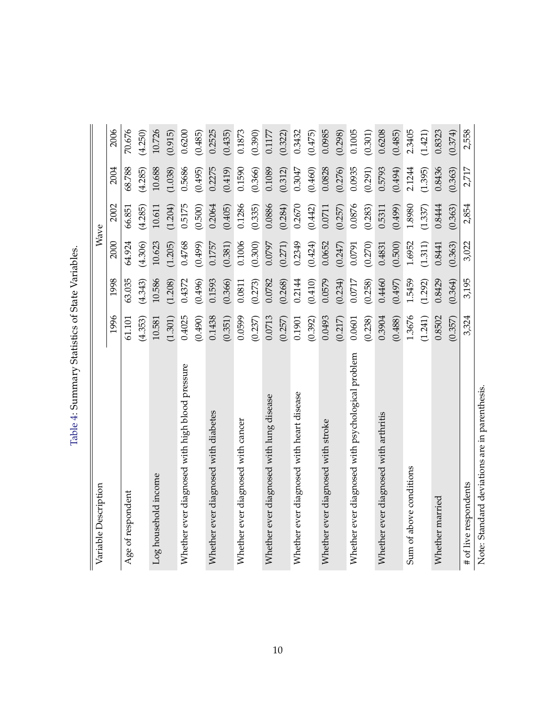| くうりょう                                        |
|----------------------------------------------|
| )<br>}<br>$-127$<br>$\overline{\phantom{a}}$ |
| $+2$<br>1                                    |
| ことまて<br>١<br> <br> <br> <br>I                |
|                                              |

<span id="page-10-0"></span>

| Variable Description                              |         |            |         | Wave    |         |         |
|---------------------------------------------------|---------|------------|---------|---------|---------|---------|
|                                                   | 1996    | 1998       | 2000    | 2002    | 2004    | 2006    |
| Age of respondent                                 | 61.101  | 63.035     | 64.924  | 66.851  | 68.788  | 70.676  |
|                                                   | (4.353) | (4.343)    | (4.306) | (4.285) | (4.285) | (4.250) |
| Log household income                              | 10.581  | 10.586     | 10.623  | 10.611  | 10.688  | 10.726  |
|                                                   | (1.301) | (1.208)    | (1.205) | (1.204) | (1.038) | (0.915) |
| Whether ever diagnosed with high blood pressure   | 0.4025  | 0.4372     | 0.4768  | 0.5175  | 0.5686  | 0.6200  |
|                                                   | (0.490) | (0.496)    | (0.499) | (0.500) | (0.495) | (0.485) |
| Whether ever diagnosed with diabetes              | 0.1438  | 0.1593     | 0.1757  | 0.2064  | 0.2275  | 0.2525  |
|                                                   | (0.351) | (0.366)    | (0.381) | (0.405) | (0.419) | (0.435) |
| Whether ever diagnosed with cancer                | 0.0599  | 0.0811     | 0.1006  | 0.1286  | 0.1590  | 0.1873  |
|                                                   | (0.237) | (0.273)    | (0.300) | (0.335) | (0.366) | (0.390) |
| Whether ever diagnosed with lung disease          | 0.0713  | 0.0782     | 0.0797  | 0.0886  | 0.1089  | 0.1177  |
|                                                   | (0.257) | (0.268)    | (0.271) | (0.284) | (0.312) | (0.322) |
| Whether ever diagnosed with heart disease         | 0.1901  | 0.2144     | 0.2349  | 0.2670  | 0.3047  | 0.3432  |
|                                                   | (0.392) | (0.410)    | (0.424) | (0.442) | (0.460) | (0.475) |
| Whether ever diagnosed with stroke                | 0.0493  | 0.0579     | 0.0652  | 0.0711  | 0.0828  | 0.0985  |
|                                                   | (0.217) | (0.234)    | (0.247) | (0.257) | (0.276) | (0.298) |
| Whether ever diagnosed with psychological problem | 0.0601  | $0.0717\,$ | 0.0791  | 0.0876  | 0.0935  | 0.1005  |
|                                                   | (0.238) | (0.258)    | (0.270) | (0.283) | (0.291) | (0.301) |
| Whether ever diagnosed with arthritis             | 0.3904  | 0.4460     | 0.4831  | 0.5311  | 0.5793  | 0.6208  |
|                                                   | (0.488) | (0.497)    | (0.500) | (0.499) | (0.494) | (0.485) |
| Sum of above conditions                           | 1.3676  | 1.5459     | 1.6952  | 1.8980  | 2.1244  | 2.3405  |
|                                                   | (1.241) | (1.292)    | (1.311) | (1.337) | (1.395) | (1.421) |
| Whether married                                   | 0.8502  | 0.8429     | 0.8441  | 0.8444  | 0.8436  | 0.8323  |
|                                                   | (0.357) | (0.364)    | (0.363) | (0.363) | (0.363) | (0.374) |
| # of live respondents                             | 3,324   | 3,195      | 3,022   | 2,854   | 2,717   | 2,558   |
| Note: Standard deviations are in parenthesis.     |         |            |         |         |         |         |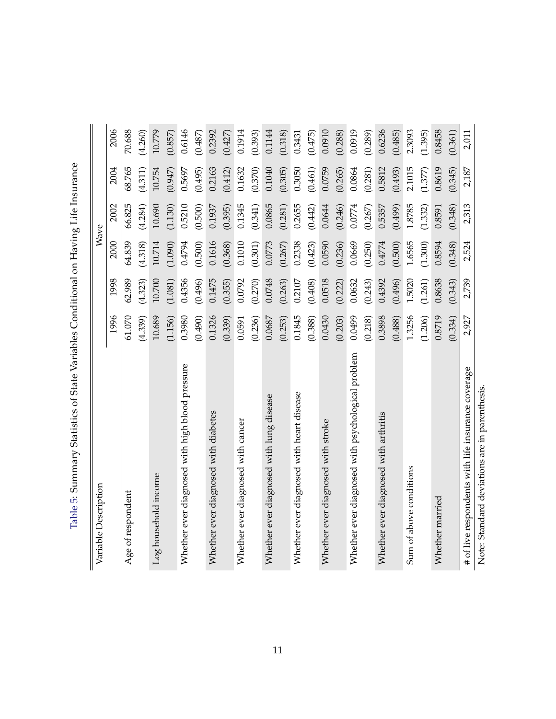| Table 5: Summary Statistics of State Variables Conditional on Having Life Insurance |             |
|-------------------------------------------------------------------------------------|-------------|
|                                                                                     |             |
|                                                                                     |             |
|                                                                                     |             |
|                                                                                     |             |
|                                                                                     | .<br>.<br>. |
|                                                                                     |             |

<span id="page-11-0"></span>

| Variable Description                               |         |         | Wave    |         |         |         |
|----------------------------------------------------|---------|---------|---------|---------|---------|---------|
|                                                    | 1996    | 1998    | 2000    | 2002    | 2004    | 2006    |
| Age of respondent                                  | 61.070  | 62.989  | 64.839  | 66.825  | 68.765  | 70.688  |
|                                                    | (4.339) | (4.323) | (4.318) | (4.284) | (4.311) | (4.260) |
| Log household income                               | 10.689  | 10.700  | 10.714  | 10.690  | 10.754  | 10.779  |
|                                                    | (1.156) | (1.081) | (1.090) | (1.130) | (0.947) | (0.857) |
| Whether ever diagnosed with high blood pressure    | 0.3980  | 0.4356  | 0.4794  | 0.5210  | 0.5697  | 0.6146  |
|                                                    | (0.490) | (0.496) | (0.500) | (0.500) | (0.495) | (0.487) |
| Whether ever diagnosed with diabetes               | 0.1326  | 0.1475  | 0.1616  | 0.1937  | 0.2163  | 0.2392  |
|                                                    | (0.339) | (0.355) | (0.368) | (0.395) | (0.412) | (0.427) |
| Whether ever diagnosed with cancer                 | 0.0591  | 0.0792  | 0.1010  | 0.1345  | 0.1632  | 0.1914  |
|                                                    | (0.236) | (0.270) | (0.301) | (0.341) | (0.370) | (0.393) |
| Whether ever diagnosed with lung disease           | 0.0687  | 0.0748  | 0.0773  | 0.0865  | 0.1040  | 0.1144  |
|                                                    | (0.253) | (0.263) | (0.267) | (0.281) | (0.305) | (0.318) |
| Whether ever diagnosed with heart disease          | 0.1845  | 0.2107  | 0.2338  | 0.2655  | 0.3050  | 0.3431  |
|                                                    | (0.388) | (0.408) | (0.423) | (0.442) | (0.461) | (0.475) |
| Whether ever diagnosed with stroke                 | 0.0430  | 0.0518  | 0.0590  | 0.0644  | 0.0759  | 0.0910  |
|                                                    | (0.203) | (0.222) | (0.236) | (0.246) | (0.265) | (0.288) |
| Whether ever diagnosed with psychological problem  | 0.0499  | 0.0632  | 0.0669  | 0.0774  | 0.0864  | 0.0919  |
|                                                    | (0.218) | (0.243) | (0.250) | (0.267) | (0.281) | (0.289) |
| Whether ever diagnosed with arthritis              | 0.3898  | 0.4392  | 0.4774  | 0.5357  | 0.5812  | 0.6236  |
|                                                    | (0.488) | (0.496) | (0.500) | (0.499) | (0.493) | (0.485) |
| Sum of above conditions                            | 1.3256  | 1.5020  | 1.6565  | 1.8785  | 2.1015  | 2.3093  |
|                                                    | (1.206) | (1.261) | (1.300) | (1.332) | (1.377) | (1.395) |
| Whether married                                    | 0.8719  | 0.8638  | 0.8594  | 0.8591  | 0.8619  | 0.8458  |
|                                                    | (0.334) | (0.343) | (0.348) | (0.348) | (0.345) | (0.361) |
| # of live respondents with life insurance coverage | 2,927   | 2,739   | 2,524   | 2,313   | 2,187   | 2,011   |
| Note: Standard deviations are in parenthesis.      |         |         |         |         |         |         |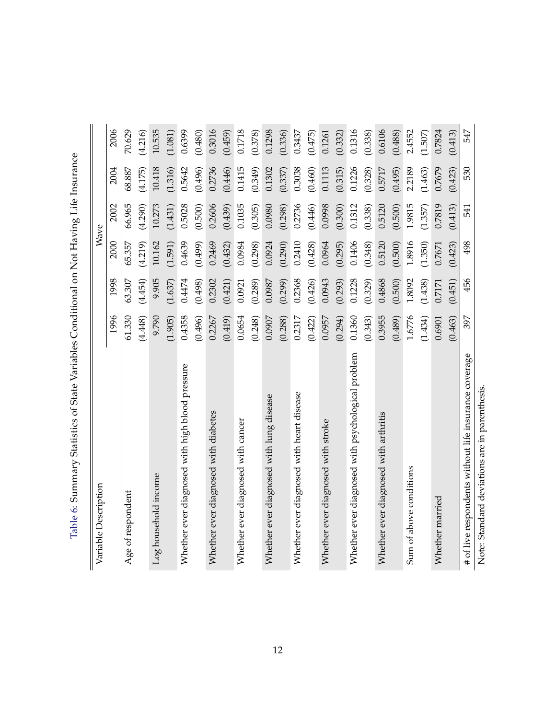<span id="page-12-0"></span>

| Variable Description                                  |         |         |         | Wave    |         |         |
|-------------------------------------------------------|---------|---------|---------|---------|---------|---------|
|                                                       | 1996    | 1998    | 2000    | 2002    | 2004    | 2006    |
| Age of respondent                                     | 61.330  | 63.307  | 65.357  | 66.965  | 68.887  | 70.629  |
|                                                       | (4.448) | (4.454) | (4.219) | (4.290) | (4.175) | (4.216) |
| Log household income                                  | 9.790   | 9.905   | 10.162  | 10.273  | 10.418  | 10.535  |
|                                                       | (1.905) | (1.637) | (1.591) | (1.431) | (1.316) | (1.081) |
| Whether ever diagnosed with high blood pressure       | 0.4358  | 0.4474  | 0.4639  | 0.5028  | 0.5642  | 0.6399  |
|                                                       | (0.496) | (0.498) | (0.499) | (0.500) | (0.496) | (0.480) |
| Whether ever diagnosed with diabetes                  | 0.2267  | 0.2302  | 0.2469  | 0.2606  | 0.2736  | 0.3016  |
|                                                       | (0.419) | (0.421) | (0.432) | (0.439) | (0.446) | (0.459) |
| Whether ever diagnosed with cancer                    | 0.0654  | 0.0921  | 0.0984  | 0.1035  | 0.1415  | 0.1718  |
|                                                       | (0.248) | (0.289) | (0.298) | (0.305) | (0.349) | (0.378) |
| Whether ever diagnosed with lung disease              | 0.0907  | 0.0987  | 0.0924  | 0.0980  | 0.1302  | 0.1298  |
|                                                       | (0.288) | (0.299) | (0.290) | (0.298) | (0.337) | (0.336) |
| Whether ever diagnosed with heart disease             | 0.2317  | 0.2368  | 0.2410  | 0.2736  | 0.3038  | 0.3437  |
|                                                       | (0.422) | (0.426) | (0.428) | (0.446) | (0.460) | (0.475) |
| Whether ever diagnosed with stroke                    | 0.0957  | 0.0943  | 0.0964  | 0.0998  | 0.1113  | 0.1261  |
|                                                       | (0.294) | (0.293) | (0.295) | (0.300) | (0.315) | (0.332) |
| Whether ever diagnosed with psychological problem     | 0.1360  | 0.1228  | 0.1406  | 0.1312  | 0.1226  | 0.1316  |
|                                                       | (0.343) | (0.329) | (0.348) | (0.338) | (0.328) | (0.338) |
| Whether ever diagnosed with arthritis                 | 0.3955  | 0.4868  | 0.5120  | 0.5120  | 0.5717  | 0.6106  |
|                                                       | (0.489) | (0.500) | (0.500) | (0.500) | (0.495) | (0.488) |
| Sum of above conditions                               | 1.6776  | 1.8092  | 1.8916  | 1.9815  | 2.2189  | 2.4552  |
|                                                       | (1.434) | (1.438) | (1.350) | (1.357) | (1.463) | (1.507) |
| Whether married                                       | 0.6901  | 0.7171  | 0.7671  | 0.7819  | 0.7679  | 0.7824  |
|                                                       | (0.463) | (0.451) | (0.423) | (0.413) | (0.423) | (0.413) |
| # of live respondents without life insurance coverage | 397     | 456     | 498     | 541     | 530     | 547     |
| Note: Standard deviations are in parenthesis.         |         |         |         |         |         |         |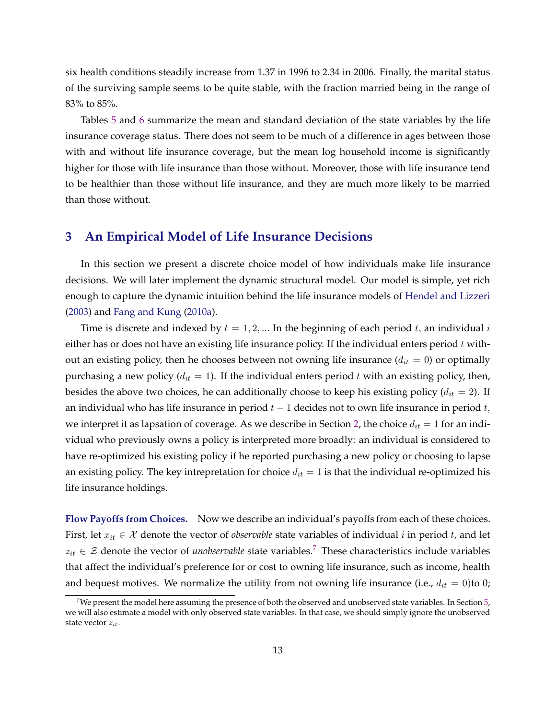<span id="page-13-0"></span>six health conditions steadily increase from 1.37 in 1996 to 2.34 in 2006. Finally, the marital status of the surviving sample seems to be quite stable, with the fraction married being in the range of 83% to 85%.

Tables [5](#page-11-0) and [6](#page-12-0) summarize the mean and standard deviation of the state variables by the life insurance coverage status. There does not seem to be much of a difference in ages between those with and without life insurance coverage, but the mean log household income is significantly higher for those with life insurance than those without. Moreover, those with life insurance tend to be healthier than those without life insurance, and they are much more likely to be married than those without.

## **3 An Empirical Model of Life Insurance Decisions**

In this section we present a discrete choice model of how individuals make life insurance decisions. We will later implement the dynamic structural model. Our model is simple, yet rich enough to capture the dynamic intuition behind the life insurance models of [Hendel and Lizzeri](#page-46-0) [\(2003\)](#page-46-0) and [Fang and Kung](#page-45-0) [\(2010a\)](#page-45-0).

Time is discrete and indexed by  $t = 1, 2, ...$  In the beginning of each period t, an individual  $i$ either has or does not have an existing life insurance policy. If the individual enters period  $t$  without an existing policy, then he chooses between not owning life insurance  $(d_{it} = 0)$  or optimally purchasing a new policy ( $d_{it} = 1$ ). If the individual enters period t with an existing policy, then, besides the above two choices, he can additionally choose to keep his existing policy  $(d_{it} = 2)$ . If an individual who has life insurance in period  $t-1$  decides not to own life insurance in period  $t$ , we interpret it as lapsation of coverage. As we describe in Section [2,](#page-5-0) the choice  $d_{it} = 1$  for an individual who previously owns a policy is interpreted more broadly: an individual is considered to have re-optimized his existing policy if he reported purchasing a new policy or choosing to lapse an existing policy. The key intrepretation for choice  $d_{it} = 1$  is that the individual re-optimized his life insurance holdings.

**Flow Payoffs from Choices.** Now we describe an individual's payoffs from each of these choices. First, let  $x_{it} \in \mathcal{X}$  denote the vector of *observable* state variables of individual *i* in period *t*, and let  $z_{it} \in \mathcal{Z}$  denote the vector of *unobservable* state variables.<sup>7</sup> These characteristics include variables that affect the individual's preference for or cost to owning life insurance, such as income, health and bequest motives. We normalize the utility from not owning life insurance (i.e.,  $d_{it} = 0$ ) to 0;

<sup>&</sup>lt;sup>7</sup>We present the model here assuming the presence of both the observed and unobserved state variables. In Section  $5$ , we will also estimate a model with only observed state variables. In that case, we should simply ignore the unobserved state vector  $z_{it}$ .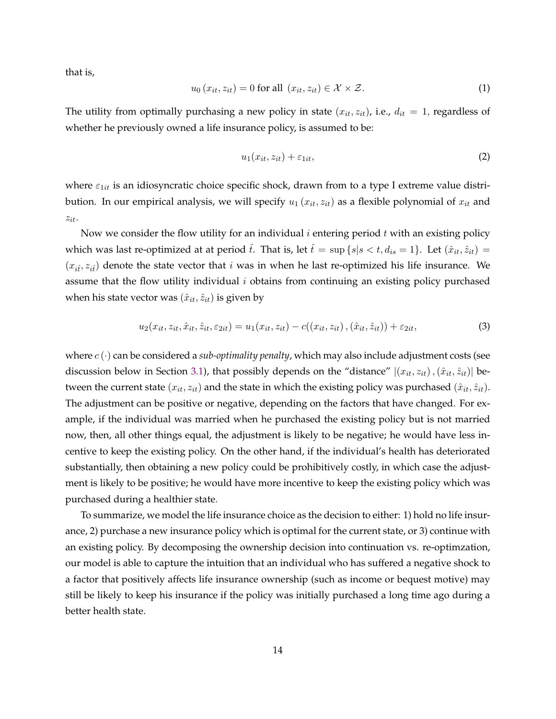<span id="page-14-0"></span>that is,

$$
u_0(x_{it}, z_{it}) = 0 \text{ for all } (x_{it}, z_{it}) \in \mathcal{X} \times \mathcal{Z}.
$$
 (1)

The utility from optimally purchasing a new policy in state  $(x_{it}, z_{it})$ , i.e.,  $d_{it} = 1$ , regardless of whether he previously owned a life insurance policy, is assumed to be:

$$
u_1(x_{it}, z_{it}) + \varepsilon_{1it}, \tag{2}
$$

where  $\varepsilon_{1it}$  is an idiosyncratic choice specific shock, drawn from to a type I extreme value distribution. In our empirical analysis, we will specify  $u_1(x_{it}, z_{it})$  as a flexible polynomial of  $x_{it}$  and  $z_{it}$ .

Now we consider the flow utility for an individual  $i$  entering period  $t$  with an existing policy which was last re-optimized at at period  $\hat{t}$ . That is, let  $\hat{t} = \sup \{s | s < t, d_{is} = 1\}$ . Let  $(\hat{x}_{it}, \hat{z}_{it})$  $(x_{i\hat{i}}, z_{i\hat{i}})$  denote the state vector that *i* was in when he last re-optimized his life insurance. We assume that the flow utility individual  $i$  obtains from continuing an existing policy purchased when his state vector was  $(\hat{x}_{it}, \hat{z}_{it})$  is given by

$$
u_2(x_{it}, z_{it}, \hat{x}_{it}, \hat{z}_{it}, \varepsilon_{2it}) = u_1(x_{it}, z_{it}) - c((x_{it}, z_{it}), (\hat{x}_{it}, \hat{z}_{it})) + \varepsilon_{2it}, \tag{3}
$$

where  $c(\cdot)$  can be considered a *sub-optimality penalty*, which may also include adjustment costs (see discussion below in Section [3.1\)](#page-16-0), that possibly depends on the "distance"  $|(x_{it}, z_{it}), (\hat{x}_{it}, \hat{z}_{it})|$  between the current state  $(x_{it}, z_{it})$  and the state in which the existing policy was purchased  $(\hat{x}_{it}, \hat{z}_{it})$ . The adjustment can be positive or negative, depending on the factors that have changed. For example, if the individual was married when he purchased the existing policy but is not married now, then, all other things equal, the adjustment is likely to be negative; he would have less incentive to keep the existing policy. On the other hand, if the individual's health has deteriorated substantially, then obtaining a new policy could be prohibitively costly, in which case the adjustment is likely to be positive; he would have more incentive to keep the existing policy which was purchased during a healthier state.

To summarize, we model the life insurance choice as the decision to either: 1) hold no life insurance, 2) purchase a new insurance policy which is optimal for the current state, or 3) continue with an existing policy. By decomposing the ownership decision into continuation vs. re-optimzation, our model is able to capture the intuition that an individual who has suffered a negative shock to a factor that positively affects life insurance ownership (such as income or bequest motive) may still be likely to keep his insurance if the policy was initially purchased a long time ago during a better health state.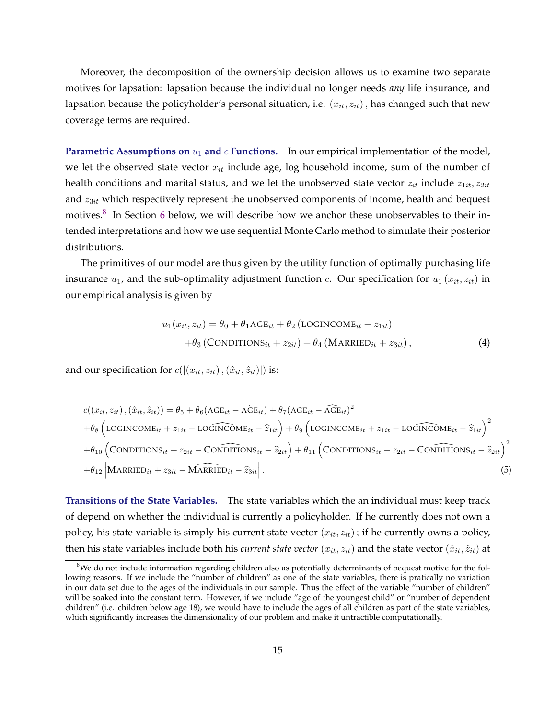<span id="page-15-0"></span>Moreover, the decomposition of the ownership decision allows us to examine two separate motives for lapsation: lapsation because the individual no longer needs *any* life insurance, and lapsation because the policyholder's personal situation, i.e.  $(x_{it}, z_{it})$ , has changed such that new coverage terms are required.

**Parametric Assumptions on**  $u_1$  and  $c$  **Functions.** In our empirical implementation of the model, we let the observed state vector  $x_{it}$  include age, log household income, sum of the number of health conditions and marital status, and we let the unobserved state vector  $z_{it}$  include  $z_{1it}$ ,  $z_{2it}$ and  $z_{3it}$  which respectively represent the unobserved components of income, health and bequest motives.<sup>8</sup> In Section [6](#page-30-0) below, we will describe how we anchor these unobservables to their intended interpretations and how we use sequential Monte Carlo method to simulate their posterior distributions.

The primitives of our model are thus given by the utility function of optimally purchasing life insurance  $u_1$ , and the sub-optimality adjustment function  $c$ . Our specification for  $u_1(x_{it}, z_{it})$  in our empirical analysis is given by

$$
u_1(x_{it}, z_{it}) = \theta_0 + \theta_1 \text{AGE}_{it} + \theta_2 (\text{LOGINCOME}_{it} + z_{1it})
$$

$$
+ \theta_3 (\text{CONDITIONS}_{it} + z_{2it}) + \theta_4 (\text{MARRED}_{it} + z_{3it}), \qquad (4)
$$

and our specification for  $c(|(x_{it}, z_{it}), (\hat{x}_{it}, \hat{z}_{it})|)$  is:

$$
c((x_{it}, z_{it}), (\hat{x}_{it}, \hat{z}_{it})) = \theta_5 + \theta_6 (\text{AGE}_{it} - \text{AGE}_{it}) + \theta_7 (\text{AGE}_{it} - \widehat{\text{AGE}}_{it})^2
$$
  
+
$$
\theta_8 (\text{LOGINCOME}_{it} + z_{1it} - \text{LOGINCOME}_{it} - \hat{z}_{1it}) + \theta_9 (\text{LOGINCOME}_{it} + z_{1it} - \text{LOGINCOME}_{it} - \hat{z}_{1it})^2
$$
  
+
$$
\theta_{10} (\text{CONDITIONS}_{it} + z_{2it} - \text{CONDITIONS}_{it} - \hat{z}_{2it}) + \theta_{11} (\text{CONDITIONS}_{it} + z_{2it} - \text{CONDITIONS}_{it} - \hat{z}_{2it})^2
$$
  
+
$$
\theta_{12} |\text{MARRIED}_{it} + z_{3it} - \text{MARRIED}_{it} - \hat{z}_{3it}|.
$$
  
(5)

**Transitions of the State Variables.** The state variables which the an individual must keep track of depend on whether the individual is currently a policyholder. If he currently does not own a policy, his state variable is simply his current state vector  $(x_{it}, z_{it})$ ; if he currently owns a policy, then his state variables include both his *current state vector*  $(x_{it}, z_{it})$  and the state vector  $(\hat{x}_{it}, \hat{z}_{it})$  at

 $8$ We do not include information regarding children also as potentially determinants of bequest motive for the following reasons. If we include the "number of children" as one of the state variables, there is pratically no variation in our data set due to the ages of the individuals in our sample. Thus the effect of the variable "number of children" will be soaked into the constant term. However, if we include "age of the youngest child" or "number of dependent children" (i.e. children below age 18), we would have to include the ages of all children as part of the state variables, which significantly increases the dimensionality of our problem and make it untractible computationally.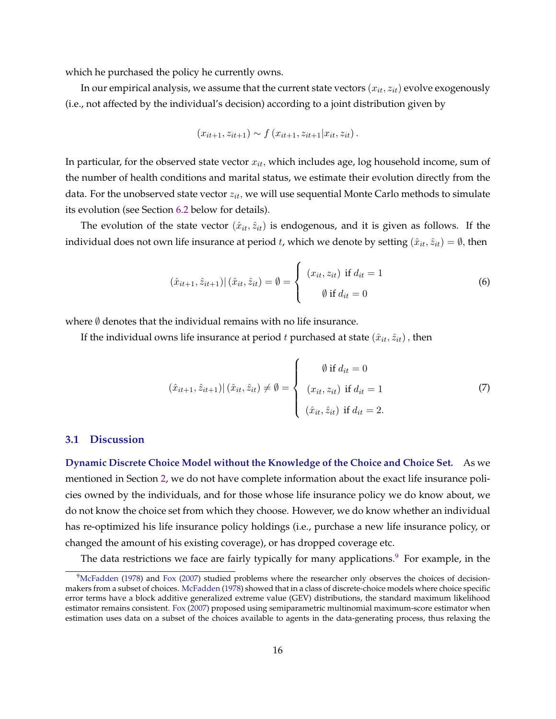<span id="page-16-0"></span>which he purchased the policy he currently owns.

In our empirical analysis, we assume that the current state vectors  $(x_{it}, z_{it})$  evolve exogenously (i.e., not affected by the individual's decision) according to a joint distribution given by

$$
(x_{it+1}, z_{it+1}) \sim f(x_{it+1}, z_{it+1} | x_{it}, z_{it}).
$$

In particular, for the observed state vector  $x_{it}$ , which includes age, log household income, sum of the number of health conditions and marital status, we estimate their evolution directly from the data. For the unobserved state vector  $z_{it}$ , we will use sequential Monte Carlo methods to simulate its evolution (see Section [6.2](#page-31-0) below for details).

The evolution of the state vector  $(\hat{x}_{it}, \hat{z}_{it})$  is endogenous, and it is given as follows. If the individual does not own life insurance at period *t*, which we denote by setting  $(\hat{x}_{it}, \hat{z}_{it}) = \emptyset$ , then

$$
(\hat{x}_{it+1}, \hat{z}_{it+1}) | (\hat{x}_{it}, \hat{z}_{it}) = \emptyset = \begin{cases} (x_{it}, z_{it}) & \text{if } d_{it} = 1 \\ \emptyset & \text{if } d_{it} = 0 \end{cases}
$$
 (6)

where  $\emptyset$  denotes that the individual remains with no life insurance.

If the individual owns life insurance at period t purchased at state  $(\hat{x}_{it}, \hat{z}_{it})$ , then

$$
(\hat{x}_{it+1}, \hat{z}_{it+1}) | (\hat{x}_{it}, \hat{z}_{it}) \neq \emptyset = \begin{cases} \emptyset \text{ if } d_{it} = 0 \\ (x_{it}, z_{it}) \text{ if } d_{it} = 1 \\ (\hat{x}_{it}, \hat{z}_{it}) \text{ if } d_{it} = 2. \end{cases}
$$
 (7)

### **3.1 Discussion**

**Dynamic Discrete Choice Model without the Knowledge of the Choice and Choice Set.** As we mentioned in Section [2,](#page-5-0) we do not have complete information about the exact life insurance policies owned by the individuals, and for those whose life insurance policy we do know about, we do not know the choice set from which they choose. However, we do know whether an individual has re-optimized his life insurance policy holdings (i.e., purchase a new life insurance policy, or changed the amount of his existing coverage), or has dropped coverage etc.

The data restrictions we face are fairly typically for many applications.<sup>9</sup> For example, in the

<sup>&</sup>lt;sup>9</sup>[McFadden](#page-46-0) [\(1978\)](#page-46-0) and [Fox](#page-45-0) [\(2007\)](#page-45-0) studied problems where the researcher only observes the choices of decisionmakers from a subset of choices. [McFadden](#page-46-0) [\(1978\)](#page-46-0) showed that in a class of discrete-choice models where choice specific error terms have a block additive generalized extreme value (GEV) distributions, the standard maximum likelihood estimator remains consistent. [Fox](#page-45-0) [\(2007\)](#page-45-0) proposed using semiparametric multinomial maximum-score estimator when estimation uses data on a subset of the choices available to agents in the data-generating process, thus relaxing the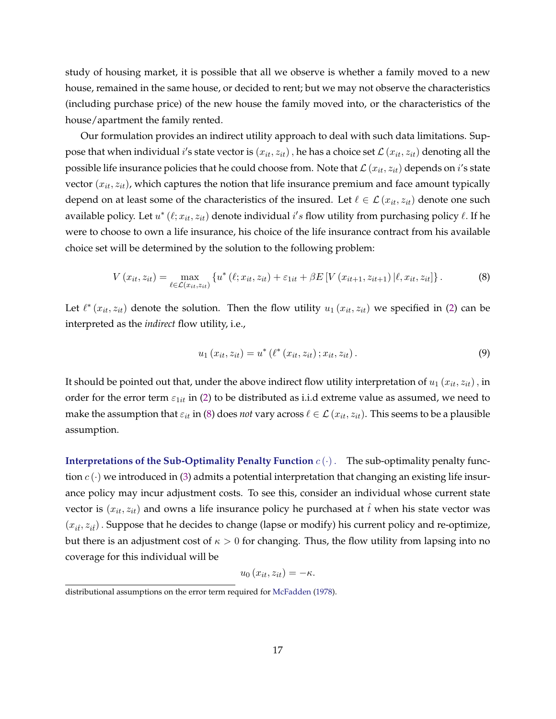<span id="page-17-0"></span>study of housing market, it is possible that all we observe is whether a family moved to a new house, remained in the same house, or decided to rent; but we may not observe the characteristics (including purchase price) of the new house the family moved into, or the characteristics of the house/apartment the family rented.

Our formulation provides an indirect utility approach to deal with such data limitations. Suppose that when individual  $i'$ s state vector is  $(x_{it}, z_{it})$  , he has a choice set  $\mathcal{L}\left(x_{it}, z_{it}\right)$  denoting all the possible life insurance policies that he could choose from. Note that  $\mathcal{L}(x_{it}, z_{it})$  depends on  $i$ 's state vector  $(x_{it}, z_{it})$ , which captures the notion that life insurance premium and face amount typically depend on at least some of the characteristics of the insured. Let  $\ell \in \mathcal{L}(x_{it}, z_{it})$  denote one such available policy. Let  $u^*(\ell; x_{it}, z_{it})$  denote individual  $i's$  flow utility from purchasing policy  $\ell$ . If he were to choose to own a life insurance, his choice of the life insurance contract from his available choice set will be determined by the solution to the following problem:

$$
V(x_{it}, z_{it}) = \max_{\ell \in \mathcal{L}(x_{it}, z_{it})} \left\{ u^*(\ell; x_{it}, z_{it}) + \varepsilon_{1it} + \beta E \left[ V(x_{it+1}, z_{it+1}) | \ell, x_{it}, z_{it} \right] \right\}.
$$
 (8)

Let  $\ell^*(x_{it}, z_{it})$  denote the solution. Then the flow utility  $u_1(x_{it}, z_{it})$  we specified in [\(2\)](#page-14-0) can be interpreted as the *indirect* flow utility, i.e.,

$$
u_1(x_{it}, z_{it}) = u^* \left( \ell^*(x_{it}, z_{it}) \, ; x_{it}, z_{it} \right). \tag{9}
$$

It should be pointed out that, under the above indirect flow utility interpretation of  $u_1(x_{it}, z_{it})$ , in order for the error term  $\varepsilon_{1it}$  in [\(2\)](#page-14-0) to be distributed as i.i.d extreme value as assumed, we need to make the assumption that  $\varepsilon_{it}$  in (8) does *not* vary across  $\ell \in \mathcal{L}(x_{it}, z_{it})$ . This seems to be a plausible assumption.

**Interpretations of the Sub-Optimality Penalty Function**  $c(\cdot)$ . The sub-optimality penalty function  $c(\cdot)$  we introduced in [\(3\)](#page-14-0) admits a potential interpretation that changing an existing life insurance policy may incur adjustment costs. To see this, consider an individual whose current state vector is  $(x_{it}, z_{it})$  and owns a life insurance policy he purchased at  $\hat{t}$  when his state vector was  $(x_{i\hat{i}}, z_{i\hat{i}})$ . Suppose that he decides to change (lapse or modify) his current policy and re-optimize, but there is an adjustment cost of  $\kappa > 0$  for changing. Thus, the flow utility from lapsing into no coverage for this individual will be

$$
u_0(x_{it}, z_{it}) = -\kappa.
$$

distributional assumptions on the error term required for [McFadden](#page-46-0) [\(1978\)](#page-46-0).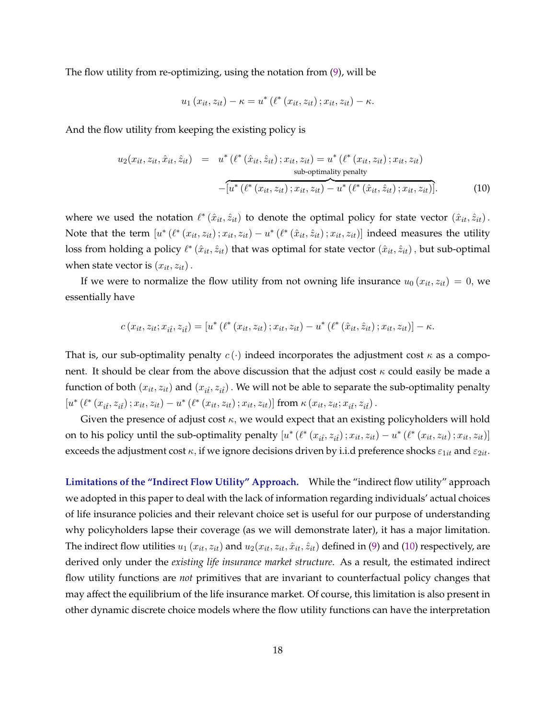The flow utility from re-optimizing, using the notation from [\(9\)](#page-17-0), will be

$$
u_1(x_{it}, z_{it}) - \kappa = u^* (\ell^*(x_{it}, z_{it}); x_{it}, z_{it}) - \kappa.
$$

And the flow utility from keeping the existing policy is

$$
u_2(x_{it}, z_{it}, \hat{x}_{it}, \hat{z}_{it}) = u^* \left( \ell^* \left( \hat{x}_{it}, \hat{z}_{it} \right); x_{it}, z_{it} \right) = u^* \left( \ell^* \left( x_{it}, z_{it} \right); x_{it}, z_{it} \right)
$$
  
sub-optimality penalty  

$$
-\left[ u^* \left( \ell^* \left( x_{it}, z_{it} \right); x_{it}, z_{it} \right) - u^* \left( \ell^* \left( \hat{x}_{it}, \hat{z}_{it} \right); x_{it}, z_{it} \right) \right].
$$
 (10)

where we used the notation  $\ell^*(\hat{x}_{it}, \hat{z}_{it})$  to denote the optimal policy for state vector  $(\hat{x}_{it}, \hat{z}_{it})$ . Note that the term  $[u^*(\ell^*(x_{it}, z_{it}); x_{it}, z_{it}) - u^*(\ell^*(\hat{x}_{it}, \hat{z}_{it}); x_{it}, z_{it})]$  indeed measures the utility loss from holding a policy  $\ell^*(\hat{x}_{it}, \hat{z}_{it})$  that was optimal for state vector  $(\hat{x}_{it}, \hat{z}_{it})$ , but sub-optimal when state vector is  $(x_{it}, z_{it})$ .

If we were to normalize the flow utility from not owning life insurance  $u_0(x_{it}, z_{it}) = 0$ , we essentially have

$$
c(x_{it}, z_{it}; x_{it}; z_{it}) = [u^* (\ell^* (x_{it}, z_{it}); x_{it}, z_{it}) - u^* (\ell^* (\hat{x}_{it}, \hat{z}_{it}); x_{it}, z_{it})] - \kappa.
$$

That is, our sub-optimality penalty  $c(\cdot)$  indeed incorporates the adjustment cost  $\kappa$  as a component. It should be clear from the above discussion that the adjust cost  $\kappa$  could easily be made a function of both  $(x_{it}, z_{it})$  and  $(x_{it}, z_{it})$ . We will not be able to separate the sub-optimality penalty  $[u^*(\ell^*(x_{it}, z_{it}) ; x_{it}, z_{it}) - u^*(\ell^*(x_{it}, z_{it}) ; x_{it}, z_{it})]$  from  $\kappa(x_{it}, z_{it}; x_{it}, z_{it})$ .

Given the presence of adjust cost  $\kappa$ , we would expect that an existing policyholders will hold on to his policy until the sub-optimality penalty  $[u^*(\ell^*(x_{it}, z_{it}); x_{it}, z_{it}) - u^*(\ell^*(x_{it}, z_{it}); x_{it}, z_{it})]$ exceeds the adjustment cost  $\kappa$ , if we ignore decisions driven by i.i.d preference shocks  $\varepsilon_{1it}$  and  $\varepsilon_{2it}$ .

**Limitations of the "Indirect Flow Utility" Approach.** While the "indirect flow utility" approach we adopted in this paper to deal with the lack of information regarding individuals' actual choices of life insurance policies and their relevant choice set is useful for our purpose of understanding why policyholders lapse their coverage (as we will demonstrate later), it has a major limitation. The indirect flow utilities  $u_1(x_{it}, z_{it})$  and  $u_2(x_{it}, z_{it}, \hat{x}_{it}, \hat{z}_{it})$  defined in [\(9\)](#page-17-0) and (10) respectively, are derived only under the *existing life insurance market structure*. As a result, the estimated indirect flow utility functions are *not* primitives that are invariant to counterfactual policy changes that may affect the equilibrium of the life insurance market. Of course, this limitation is also present in other dynamic discrete choice models where the flow utility functions can have the interpretation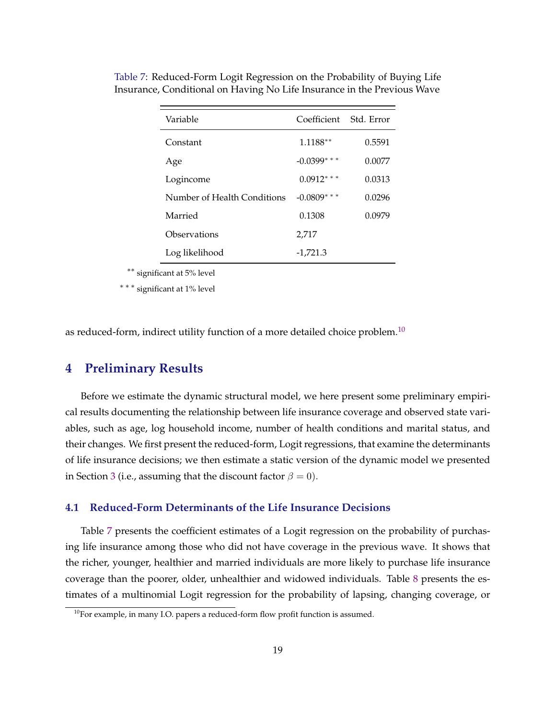| Variable                    | Coefficient     | Std. Error |
|-----------------------------|-----------------|------------|
| Constant                    | 1.1188**        | 0.5591     |
| Age                         | $-0.0399$ * * * | 0.0077     |
| Logincome                   | $0.0912$ ***    | 0.0313     |
| Number of Health Conditions | $-0.0809$ * * * | 0.0296     |
| Married                     | 0.1308          | 0.0979     |
| Observations                | 2,717           |            |
| Log likelihood              | $-1.721.3$      |            |

<span id="page-19-0"></span>Table 7: Reduced-Form Logit Regression on the Probability of Buying Life Insurance, Conditional on Having No Life Insurance in the Previous Wave

∗∗ significant at 5% level

∗ ∗ ∗ significant at 1% level

as reduced-form, indirect utility function of a more detailed choice problem.<sup>10</sup>

### **4 Preliminary Results**

Before we estimate the dynamic structural model, we here present some preliminary empirical results documenting the relationship between life insurance coverage and observed state variables, such as age, log household income, number of health conditions and marital status, and their changes. We first present the reduced-form, Logit regressions, that examine the determinants of life insurance decisions; we then estimate a static version of the dynamic model we presented in Section [3](#page-13-0) (i.e., assuming that the discount factor  $\beta = 0$ ).

### **4.1 Reduced-Form Determinants of the Life Insurance Decisions**

Table 7 presents the coefficient estimates of a Logit regression on the probability of purchasing life insurance among those who did not have coverage in the previous wave. It shows that the richer, younger, healthier and married individuals are more likely to purchase life insurance coverage than the poorer, older, unhealthier and widowed individuals. Table [8](#page-20-0) presents the estimates of a multinomial Logit regression for the probability of lapsing, changing coverage, or

 $10$ For example, in many I.O. papers a reduced-form flow profit function is assumed.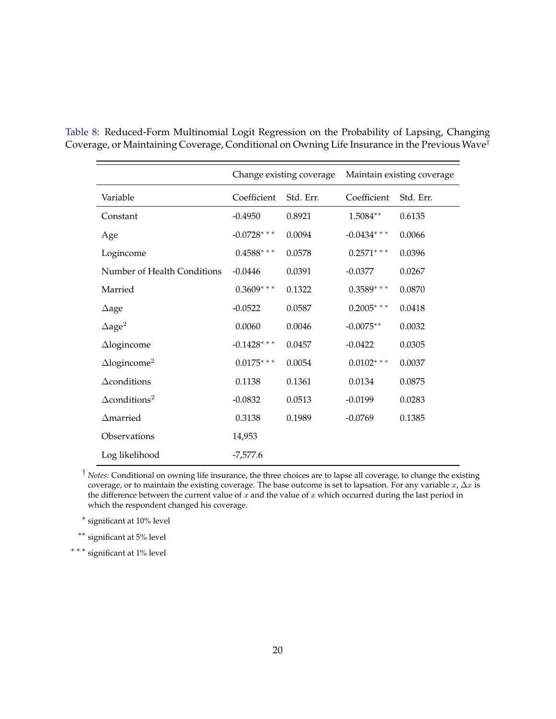|                                  |               | Change existing coverage |               | Maintain existing coverage |
|----------------------------------|---------------|--------------------------|---------------|----------------------------|
| Variable                         | Coefficient   | Std. Err.                | Coefficient   | Std. Err.                  |
| Constant                         | $-0.4950$     | 0.8921                   | 1.5084**      | 0.6135                     |
| Age                              | $-0.0728$ *** | 0.0094                   | $-0.0434$ *** | 0.0066                     |
| Logincome                        | $0.4588$ ***  | 0.0578                   | $0.2571$ ***  | 0.0396                     |
| Number of Health Conditions      | $-0.0446$     | 0.0391                   | $-0.0377$     | 0.0267                     |
| Married                          | $0.3609$ ***  | 0.1322                   | $0.3589$ ***  | 0.0870                     |
| $\Delta$ age                     | $-0.0522$     | 0.0587                   | $0.2005$ ***  | 0.0418                     |
| $\Delta$ age <sup>2</sup>        | 0.0060        | 0.0046                   | $-0.0075**$   | 0.0032                     |
| $\triangle$ logincome            | $-0.1428$ *** | 0.0457                   | $-0.0422$     | 0.0305                     |
| $\Delta$ logincome <sup>2</sup>  | $0.0175***$   | 0.0054                   | $0.0102***$   | 0.0037                     |
| $\Delta$ conditions              | 0.1138        | 0.1361                   | 0.0134        | 0.0875                     |
| $\Delta$ conditions <sup>2</sup> | $-0.0832$     | 0.0513                   | $-0.0199$     | 0.0283                     |
| $\Delta$ married                 | 0.3138        | 0.1989                   | $-0.0769$     | 0.1385                     |
| Observations                     | 14,953        |                          |               |                            |
| Log likelihood                   | $-7,577.6$    |                          |               |                            |

<span id="page-20-0"></span>Table 8: Reduced-Form Multinomial Logit Regression on the Probability of Lapsing, Changing Coverage, or Maintaining Coverage, Conditional on Owning Life Insurance in the Previous Wave†

† *Notes:* Conditional on owning life insurance, the three choices are to lapse all coverage, to change the existing coverage, or to maintain the existing coverage. The base outcome is set to lapsation. For any variable  $x$ ,  $\Delta x$  is the difference between the current value of  $\bar{x}$  and the value of  $x$  which occurred during the last period in which the respondent changed his coverage.

∗ significant at 10% level

∗∗ significant at 5% level

∗ ∗ ∗ significant at 1% level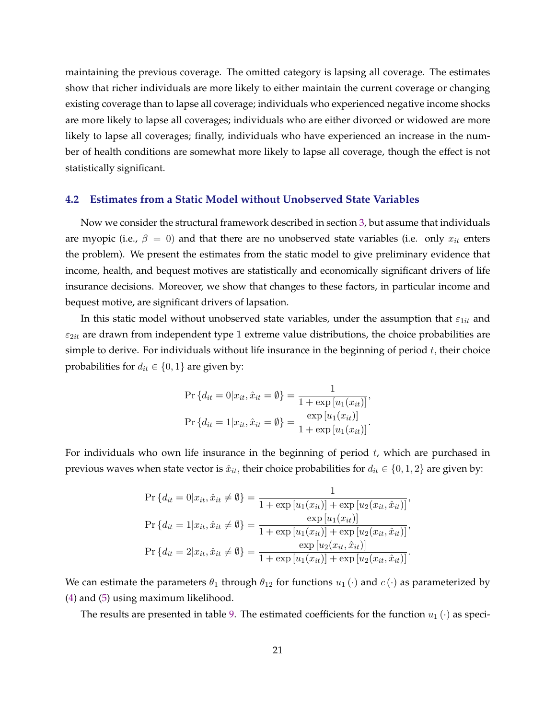maintaining the previous coverage. The omitted category is lapsing all coverage. The estimates show that richer individuals are more likely to either maintain the current coverage or changing existing coverage than to lapse all coverage; individuals who experienced negative income shocks are more likely to lapse all coverages; individuals who are either divorced or widowed are more likely to lapse all coverages; finally, individuals who have experienced an increase in the number of health conditions are somewhat more likely to lapse all coverage, though the effect is not statistically significant.

### **4.2 Estimates from a Static Model without Unobserved State Variables**

Now we consider the structural framework described in section [3,](#page-13-0) but assume that individuals are myopic (i.e.,  $\beta = 0$ ) and that there are no unobserved state variables (i.e. only  $x_{it}$  enters the problem). We present the estimates from the static model to give preliminary evidence that income, health, and bequest motives are statistically and economically significant drivers of life insurance decisions. Moreover, we show that changes to these factors, in particular income and bequest motive, are significant drivers of lapsation.

In this static model without unobserved state variables, under the assumption that  $\varepsilon_{1it}$  and  $\varepsilon_{2it}$  are drawn from independent type 1 extreme value distributions, the choice probabilities are simple to derive. For individuals without life insurance in the beginning of period  $t$ , their choice probabilities for  $d_{it} \in \{0, 1\}$  are given by:

$$
\Pr\{d_{it} = 0 | x_{it}, \hat{x}_{it} = \emptyset\} = \frac{1}{1 + \exp[u_1(x_{it})]},
$$
  

$$
\Pr\{d_{it} = 1 | x_{it}, \hat{x}_{it} = \emptyset\} = \frac{\exp[u_1(x_{it})]}{1 + \exp[u_1(x_{it})]}.
$$

For individuals who own life insurance in the beginning of period  $t$ , which are purchased in previous waves when state vector is  $\hat{x}_{it}$ , their choice probabilities for  $d_{it} \in \{0, 1, 2\}$  are given by:

$$
\Pr\{d_{it} = 0 | x_{it}, \hat{x}_{it} \neq \emptyset\} = \frac{1}{1 + \exp[u_1(x_{it})] + \exp[u_2(x_{it}, \hat{x}_{it})]},
$$
\n
$$
\Pr\{d_{it} = 1 | x_{it}, \hat{x}_{it} \neq \emptyset\} = \frac{\exp[u_1(x_{it})]}{1 + \exp[u_1(x_{it})] + \exp[u_2(x_{it}, \hat{x}_{it})]},
$$
\n
$$
\Pr\{d_{it} = 2 | x_{it}, \hat{x}_{it} \neq \emptyset\} = \frac{\exp[u_2(x_{it}, \hat{x}_{it})]}{1 + \exp[u_1(x_{it})] + \exp[u_2(x_{it}, \hat{x}_{it})]}.
$$

We can estimate the parameters  $\theta_1$  through  $\theta_{12}$  for functions  $u_1(\cdot)$  and  $c(\cdot)$  as parameterized by [\(4\)](#page-15-0) and [\(5\)](#page-15-0) using maximum likelihood.

The results are presented in table [9.](#page-22-0) The estimated coefficients for the function  $u_1(\cdot)$  as speci-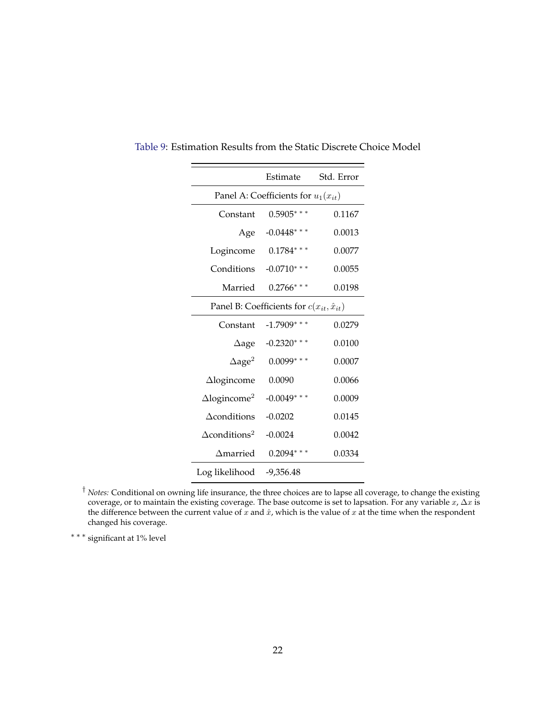|                                                     | Estimate                                | Std. Error |  |  |
|-----------------------------------------------------|-----------------------------------------|------------|--|--|
|                                                     | Panel A: Coefficients for $u_1(x_{it})$ |            |  |  |
| Constant                                            | $0.5905$ ***                            | 0.1167     |  |  |
| Age                                                 | $-0.0448$ * * *                         | 0.0013     |  |  |
| Logincome                                           | $0.1784$ ***                            | 0.0077     |  |  |
| Conditions                                          | $-0.0710***$                            | 0.0055     |  |  |
| Married                                             | $0.2766$ ***                            | 0.0198     |  |  |
| Panel B: Coefficients for $c(x_{it}, \hat{x}_{it})$ |                                         |            |  |  |
| Constant                                            | $-1.7909$ ***                           | 0.0279     |  |  |
| $\Delta$ age                                        | $-0.2320$ * * *                         | 0.0100     |  |  |
| $\Delta$ age <sup>2</sup>                           | $0.0099***$                             | 0.0007     |  |  |
| $\Delta$ logincome                                  | 0.0090                                  | 0.0066     |  |  |
| $\Delta$ logincome <sup>2</sup>                     | $-0.0049$ ***                           | 0.0009     |  |  |
| $\Delta$ conditions                                 | $-0.0202$                               | 0.0145     |  |  |
| $\Delta$ conditions <sup>2</sup>                    | $-0.0024$                               | 0.0042     |  |  |
| $\Delta$ married                                    | $0.2094$ ***                            | 0.0334     |  |  |
| Log likelihood                                      | $-9,356.48$                             |            |  |  |

<span id="page-22-0"></span>Table 9: Estimation Results from the Static Discrete Choice Model

 $\overline{\phantom{0}}$ 

 $\qquad \qquad$ 

† *Notes:* Conditional on owning life insurance, the three choices are to lapse all coverage, to change the existing coverage, or to maintain the existing coverage. The base outcome is set to lapsation. For any variable  $x$ ,  $\Delta x$  is the difference between the current value of  $\bar{x}$  and  $\hat{x}$ , which is the value of  $x$  at the time when the respondent changed his coverage.

∗ ∗ ∗ significant at 1% level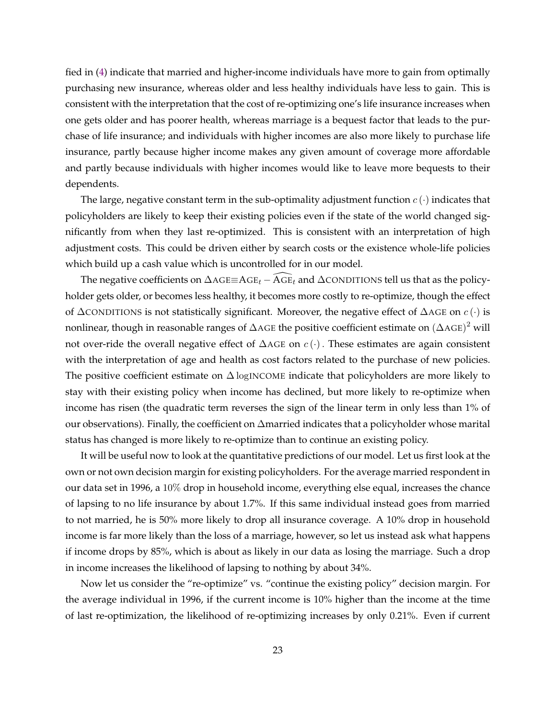fied in [\(4\)](#page-15-0) indicate that married and higher-income individuals have more to gain from optimally purchasing new insurance, whereas older and less healthy individuals have less to gain. This is consistent with the interpretation that the cost of re-optimizing one's life insurance increases when one gets older and has poorer health, whereas marriage is a bequest factor that leads to the purchase of life insurance; and individuals with higher incomes are also more likely to purchase life insurance, partly because higher income makes any given amount of coverage more affordable and partly because individuals with higher incomes would like to leave more bequests to their dependents.

The large, negative constant term in the sub-optimality adjustment function  $c(\cdot)$  indicates that policyholders are likely to keep their existing policies even if the state of the world changed significantly from when they last re-optimized. This is consistent with an interpretation of high adjustment costs. This could be driven either by search costs or the existence whole-life policies which build up a cash value which is uncontrolled for in our model.

The negative coefficients on  $\Delta AGE \equiv AGE_t - \widehat{A}GE_t$  and  $\Delta$ CONDITIONS tell us that as the policyholder gets older, or becomes less healthy, it becomes more costly to re-optimize, though the effect of  $\Delta$ CONDITIONS is not statistically significant. Moreover, the negative effect of  $\Delta$ AGE on  $c(\cdot)$  is nonlinear, though in reasonable ranges of  $\Delta$ AGE the positive coefficient estimate on  $(\Delta$ AGE) $^2$  will not over-ride the overall negative effect of  $\Delta$ AGE on  $c(\cdot)$ . These estimates are again consistent with the interpretation of age and health as cost factors related to the purchase of new policies. The positive coefficient estimate on  $\Delta$  logINCOME indicate that policyholders are more likely to stay with their existing policy when income has declined, but more likely to re-optimize when income has risen (the quadratic term reverses the sign of the linear term in only less than 1% of our observations). Finally, the coefficient on Δmarried indicates that a policyholder whose marital status has changed is more likely to re-optimize than to continue an existing policy.

It will be useful now to look at the quantitative predictions of our model. Let us first look at the own or not own decision margin for existing policyholders. For the average married respondent in our data set in 1996, a 10% drop in household income, everything else equal, increases the chance of lapsing to no life insurance by about 1.7%. If this same individual instead goes from married to not married, he is 50% more likely to drop all insurance coverage. A 10% drop in household income is far more likely than the loss of a marriage, however, so let us instead ask what happens if income drops by 85%, which is about as likely in our data as losing the marriage. Such a drop in income increases the likelihood of lapsing to nothing by about 34%.

Now let us consider the "re-optimize" vs. "continue the existing policy" decision margin. For the average individual in 1996, if the current income is 10% higher than the income at the time of last re-optimization, the likelihood of re-optimizing increases by only 0.21%. Even if current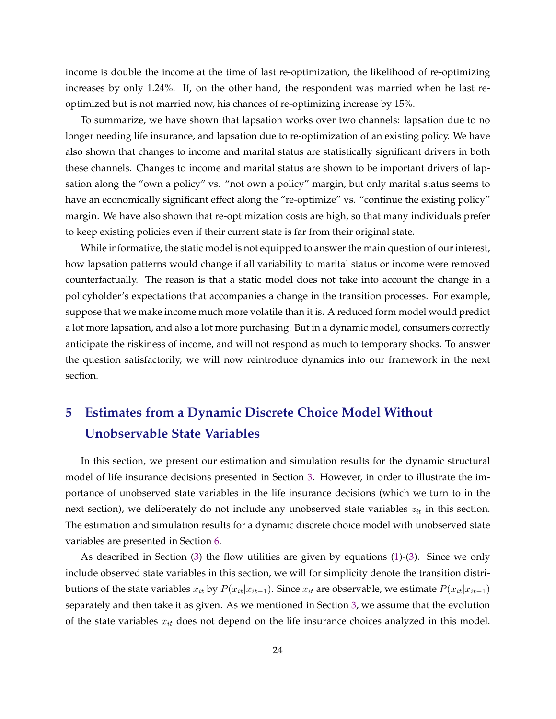<span id="page-24-0"></span>income is double the income at the time of last re-optimization, the likelihood of re-optimizing increases by only 1.24%. If, on the other hand, the respondent was married when he last reoptimized but is not married now, his chances of re-optimizing increase by 15%.

To summarize, we have shown that lapsation works over two channels: lapsation due to no longer needing life insurance, and lapsation due to re-optimization of an existing policy. We have also shown that changes to income and marital status are statistically significant drivers in both these channels. Changes to income and marital status are shown to be important drivers of lapsation along the "own a policy" vs. "not own a policy" margin, but only marital status seems to have an economically significant effect along the "re-optimize" vs. "continue the existing policy" margin. We have also shown that re-optimization costs are high, so that many individuals prefer to keep existing policies even if their current state is far from their original state.

While informative, the static model is not equipped to answer the main question of our interest, how lapsation patterns would change if all variability to marital status or income were removed counterfactually. The reason is that a static model does not take into account the change in a policyholder's expectations that accompanies a change in the transition processes. For example, suppose that we make income much more volatile than it is. A reduced form model would predict a lot more lapsation, and also a lot more purchasing. But in a dynamic model, consumers correctly anticipate the riskiness of income, and will not respond as much to temporary shocks. To answer the question satisfactorily, we will now reintroduce dynamics into our framework in the next section.

## **5 Estimates from a Dynamic Discrete Choice Model Without Unobservable State Variables**

In this section, we present our estimation and simulation results for the dynamic structural model of life insurance decisions presented in Section [3.](#page-13-0) However, in order to illustrate the importance of unobserved state variables in the life insurance decisions (which we turn to in the next section), we deliberately do not include any unobserved state variables  $z_{it}$  in this section. The estimation and simulation results for a dynamic discrete choice model with unobserved state variables are presented in Section [6.](#page-30-0)

As described in Section [\(3\)](#page-13-0) the flow utilities are given by equations [\(1\)](#page-14-0)-[\(3\)](#page-14-0). Since we only include observed state variables in this section, we will for simplicity denote the transition distributions of the state variables  $x_{it}$  by  $P(x_{it}|x_{it-1})$ . Since  $x_{it}$  are observable, we estimate  $P(x_{it}|x_{it-1})$ separately and then take it as given. As we mentioned in Section [3,](#page-13-0) we assume that the evolution of the state variables  $x_{it}$  does not depend on the life insurance choices analyzed in this model.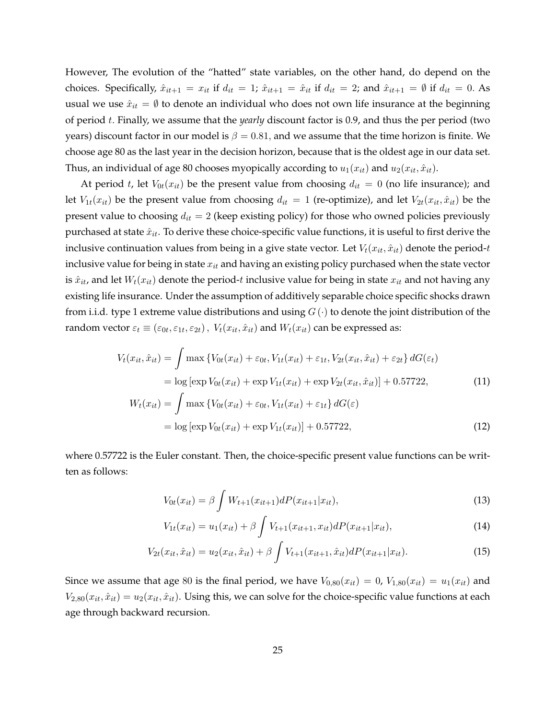However, The evolution of the "hatted" state variables, on the other hand, do depend on the choices. Specifically,  $\hat{x}_{it+1} = x_{it}$  if  $d_{it} = 1$ ;  $\hat{x}_{it+1} = \hat{x}_{it}$  if  $d_{it} = 2$ ; and  $\hat{x}_{it+1} = \emptyset$  if  $d_{it} = 0$ . As usual we use  $\hat{x}_{it} = \emptyset$  to denote an individual who does not own life insurance at the beginning of period 𝑡. Finally, we assume that the *yearly* discount factor is 0.9, and thus the per period (two years) discount factor in our model is  $\beta = 0.81$ , and we assume that the time horizon is finite. We choose age 80 as the last year in the decision horizon, because that is the oldest age in our data set. Thus, an individual of age 80 chooses myopically according to  $u_1(x_{it})$  and  $u_2(x_{it}, \hat{x}_{it})$ .

At period t, let  $V_{0t}(x_{it})$  be the present value from choosing  $d_{it} = 0$  (no life insurance); and let  $V_{1t}(x_{it})$  be the present value from choosing  $d_{it} = 1$  (re-optimize), and let  $V_{2t}(x_{it}, \hat{x}_{it})$  be the present value to choosing  $d_{it} = 2$  (keep existing policy) for those who owned policies previously purchased at state  $\hat{x}_{it}$ . To derive these choice-specific value functions, it is useful to first derive the inclusive continuation values from being in a give state vector. Let  $V_t(x_{it}, \hat{x}_{it})$  denote the period-t inclusive value for being in state  $x_{it}$  and having an existing policy purchased when the state vector is  $\hat{x}_{it}$ , and let  $W_t(x_{it})$  denote the period-t inclusive value for being in state  $x_{it}$  and not having any existing life insurance. Under the assumption of additively separable choice specific shocks drawn from i.i.d. type 1 extreme value distributions and using  $G(\cdot)$  to denote the joint distribution of the random vector  $\varepsilon_t \equiv (\varepsilon_{0t}, \varepsilon_{1t}, \varepsilon_{2t})$  ,  $V_t(x_{it}, \hat{x}_{it})$  and  $W_t(x_{it})$  can be expressed as:

$$
V_t(x_{it}, \hat{x}_{it}) = \int \max \left\{ V_{0t}(x_{it}) + \varepsilon_{0t}, V_{1t}(x_{it}) + \varepsilon_{1t}, V_{2t}(x_{it}, \hat{x}_{it}) + \varepsilon_{2t} \right\} dG(\varepsilon_t)
$$
  
=  $\log \left[ \exp V_{0t}(x_{it}) + \exp V_{1t}(x_{it}) + \exp V_{2t}(x_{it}, \hat{x}_{it}) \right] + 0.57722,$  (11)

$$
W_t(x_{it}) = \int \max \left\{ V_{0t}(x_{it}) + \varepsilon_{0t}, V_{1t}(x_{it}) + \varepsilon_{1t} \right\} dG(\varepsilon)
$$

$$
= \log \left[ \exp V_{0t}(x_{it}) + \exp V_{1t}(x_{it}) \right] + 0.57722,
$$
 (12)

where 0.57722 is the Euler constant. Then, the choice-specific present value functions can be written as follows:

$$
V_{0t}(x_{it}) = \beta \int W_{t+1}(x_{it+1}) dP(x_{it+1}|x_{it}), \qquad (13)
$$

$$
V_{1t}(x_{it}) = u_1(x_{it}) + \beta \int V_{t+1}(x_{it+1}, x_{it}) dP(x_{it+1}|x_{it}), \qquad (14)
$$

$$
V_{2t}(x_{it}, \hat{x}_{it}) = u_2(x_{it}, \hat{x}_{it}) + \beta \int V_{t+1}(x_{it+1}, \hat{x}_{it}) dP(x_{it+1}|x_{it}). \tag{15}
$$

Since we assume that age 80 is the final period, we have  $V_{0,80}(x_{it}) = 0$ ,  $V_{1,80}(x_{it}) = u_1(x_{it})$  and  $V_{2,80}(x_{it}, \hat{x}_{it}) = u_2(x_{it}, \hat{x}_{it})$ . Using this, we can solve for the choice-specific value functions at each age through backward recursion.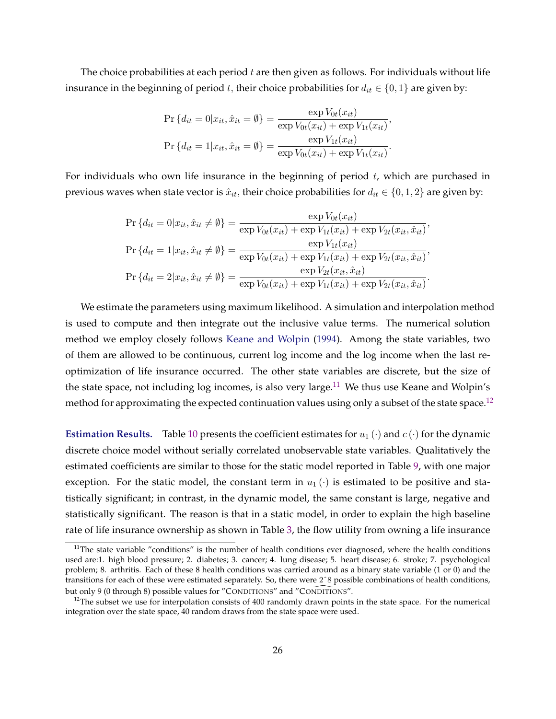The choice probabilities at each period  $t$  are then given as follows. For individuals without life insurance in the beginning of period t, their choice probabilities for  $d_{it} \in \{0,1\}$  are given by:

$$
\Pr\{d_{it} = 0 | x_{it}, \hat{x}_{it} = \emptyset\} = \frac{\exp V_{0t}(x_{it})}{\exp V_{0t}(x_{it}) + \exp V_{1t}(x_{it})},
$$
  

$$
\Pr\{d_{it} = 1 | x_{it}, \hat{x}_{it} = \emptyset\} = \frac{\exp V_{1t}(x_{it})}{\exp V_{0t}(x_{it}) + \exp V_{1t}(x_{it})}.
$$

For individuals who own life insurance in the beginning of period  $t$ , which are purchased in previous waves when state vector is  $\hat{x}_{it}$ , their choice probabilities for  $d_{it} \in \{0, 1, 2\}$  are given by:

$$
\Pr\{d_{it} = 0 | x_{it}, \hat{x}_{it} \neq \emptyset\} = \frac{\exp V_{0t}(x_{it})}{\exp V_{0t}(x_{it}) + \exp V_{1t}(x_{it}) + \exp V_{2t}(x_{it}, \hat{x}_{it})},
$$
\n
$$
\Pr\{d_{it} = 1 | x_{it}, \hat{x}_{it} \neq \emptyset\} = \frac{\exp V_{1t}(x_{it})}{\exp V_{0t}(x_{it}) + \exp V_{1t}(x_{it}) + \exp V_{2t}(x_{it}, \hat{x}_{it})},
$$
\n
$$
\Pr\{d_{it} = 2 | x_{it}, \hat{x}_{it} \neq \emptyset\} = \frac{\exp V_{2t}(x_{it}, \hat{x}_{it})}{\exp V_{0t}(x_{it}) + \exp V_{1t}(x_{it}) + \exp V_{2t}(x_{it}, \hat{x}_{it})}.
$$

We estimate the parameters using maximum likelihood. A simulation and interpolation method is used to compute and then integrate out the inclusive value terms. The numerical solution method we employ closely follows [Keane and Wolpin](#page-46-0) [\(1994\)](#page-46-0). Among the state variables, two of them are allowed to be continuous, current log income and the log income when the last reoptimization of life insurance occurred. The other state variables are discrete, but the size of the state space, not including log incomes, is also very large.<sup>11</sup> We thus use Keane and Wolpin's method for approximating the expected continuation values using only a subset of the state space.<sup>12</sup>

**Estimation Results.** Table [10](#page-27-0) presents the coefficient estimates for  $u_1(\cdot)$  and  $c(\cdot)$  for the dynamic discrete choice model without serially correlated unobservable state variables. Qualitatively the estimated coefficients are similar to those for the static model reported in Table [9,](#page-22-0) with one major exception. For the static model, the constant term in  $u_1(\cdot)$  is estimated to be positive and statistically significant; in contrast, in the dynamic model, the same constant is large, negative and statistically significant. The reason is that in a static model, in order to explain the high baseline rate of life insurance ownership as shown in Table [3,](#page-9-0) the flow utility from owning a life insurance

 $11$ The state variable "conditions" is the number of health conditions ever diagnosed, where the health conditions used are:1. high blood pressure; 2. diabetes; 3. cancer; 4. lung disease; 5. heart disease; 6. stroke; 7. psychological problem; 8. arthritis. Each of these 8 health conditions was carried around as a binary state variable (1 or 0) and the transitions for each of these were estimated separately. So, there were 2ˆ8 possible combinations of health conditions, but only 9 (0 through 8) possible values for "CONDITIONS" and "CONDITIONS".

 $12$ The subset we use for interpolation consists of 400 randomly drawn points in the state space. For the numerical integration over the state space, 40 random draws from the state space were used.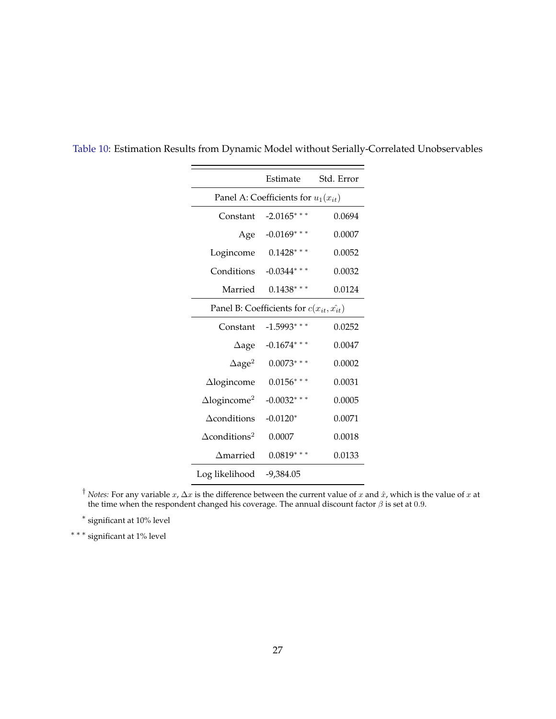|                                               | Estimate<br>Std. Error |        |  |  |  |  |  |
|-----------------------------------------------|------------------------|--------|--|--|--|--|--|
| Panel A: Coefficients for $u_1(x_{it})$       |                        |        |  |  |  |  |  |
| Constant                                      | $-2.0165$ ***          | 0.0694 |  |  |  |  |  |
| Age                                           | $-0.0169$ ***          | 0.0007 |  |  |  |  |  |
| Logincome                                     | $0.1428$ ***           | 0.0052 |  |  |  |  |  |
| Conditions                                    | $-0.0344$ ***          | 0.0032 |  |  |  |  |  |
| Married                                       | $0.1438***$            | 0.0124 |  |  |  |  |  |
| Panel B: Coefficients for $c(x_{it}, x_{it})$ |                        |        |  |  |  |  |  |
| Constant                                      | $-1.5993$ ***          | 0.0252 |  |  |  |  |  |
| $\Delta$ age                                  | $-0.1674$ ***          | 0.0047 |  |  |  |  |  |
| $\Delta$ age <sup>2</sup>                     | $0.0073***$            | 0.0002 |  |  |  |  |  |
| $\triangle$ logincome                         | $0.0156***$            | 0.0031 |  |  |  |  |  |
| $\Delta$ logincome <sup>2</sup>               | $-0.0032$ ***          | 0.0005 |  |  |  |  |  |
| $\Delta$ conditions                           | $-0.0120*$             | 0.0071 |  |  |  |  |  |
| $\Delta$ conditions <sup>2</sup>              | 0.0007                 | 0.0018 |  |  |  |  |  |
| $\Delta$ married                              | $0.0819***$            | 0.0133 |  |  |  |  |  |
| Log likelihood                                | -9,384.05              |        |  |  |  |  |  |

<span id="page-27-0"></span>Table 10: Estimation Results from Dynamic Model without Serially-Correlated Unobservables

<sup>†</sup> *Notes:* For any variable  $x$ ,  $\Delta x$  is the difference between the current value of  $x$  and  $\hat{x}$ , which is the value of  $x$  at the time when the respondent changed his coverage. The annual discount factor  $\beta$  is set at 0.9.

∗ significant at 10% level

∗ ∗ ∗ significant at 1% level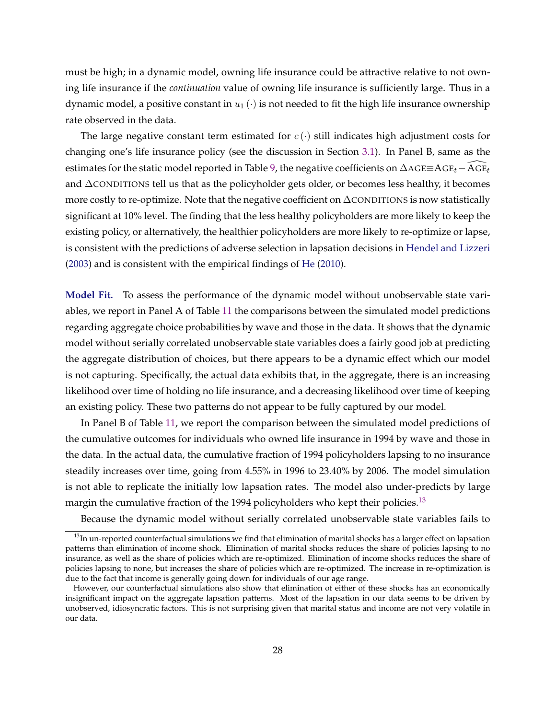must be high; in a dynamic model, owning life insurance could be attractive relative to not owning life insurance if the *continuation* value of owning life insurance is sufficiently large. Thus in a dynamic model, a positive constant in  $u_1(\cdot)$  is not needed to fit the high life insurance ownership rate observed in the data.

The large negative constant term estimated for  $c(\cdot)$  still indicates high adjustment costs for changing one's life insurance policy (see the discussion in Section [3.1\)](#page-16-0). In Panel B, same as the estimates for the static model reported in Table [9,](#page-22-0) the negative coefficients on  $\Delta AGE \equiv AGE_t - AGE_t$ and ΔCONDITIONS tell us that as the policyholder gets older, or becomes less healthy, it becomes more costly to re-optimize. Note that the negative coefficient on  $\Delta$ CONDITIONS is now statistically significant at 10% level. The finding that the less healthy policyholders are more likely to keep the existing policy, or alternatively, the healthier policyholders are more likely to re-optimize or lapse, is consistent with the predictions of adverse selection in lapsation decisions in [Hendel and Lizzeri](#page-46-0) [\(2003\)](#page-46-0) and is consistent with the empirical findings of [He](#page-46-0) [\(2010\)](#page-46-0).

**Model Fit.** To assess the performance of the dynamic model without unobservable state variables, we report in Panel A of Table [11](#page-29-0) the comparisons between the simulated model predictions regarding aggregate choice probabilities by wave and those in the data. It shows that the dynamic model without serially correlated unobservable state variables does a fairly good job at predicting the aggregate distribution of choices, but there appears to be a dynamic effect which our model is not capturing. Specifically, the actual data exhibits that, in the aggregate, there is an increasing likelihood over time of holding no life insurance, and a decreasing likelihood over time of keeping an existing policy. These two patterns do not appear to be fully captured by our model.

In Panel B of Table [11,](#page-29-0) we report the comparison between the simulated model predictions of the cumulative outcomes for individuals who owned life insurance in 1994 by wave and those in the data. In the actual data, the cumulative fraction of 1994 policyholders lapsing to no insurance steadily increases over time, going from 4.55% in 1996 to 23.40% by 2006. The model simulation is not able to replicate the initially low lapsation rates. The model also under-predicts by large margin the cumulative fraction of the 1994 policyholders who kept their policies.<sup>13</sup>

Because the dynamic model without serially correlated unobservable state variables fails to

<sup>&</sup>lt;sup>13</sup>In un-reported counterfactual simulations we find that elimination of marital shocks has a larger effect on lapsation patterns than elimination of income shock. Elimination of marital shocks reduces the share of policies lapsing to no insurance, as well as the share of policies which are re-optimized. Elimination of income shocks reduces the share of policies lapsing to none, but increases the share of policies which are re-optimized. The increase in re-optimization is due to the fact that income is generally going down for individuals of our age range.

However, our counterfactual simulations also show that elimination of either of these shocks has an economically insignificant impact on the aggregate lapsation patterns. Most of the lapsation in our data seems to be driven by unobserved, idiosyncratic factors. This is not surprising given that marital status and income are not very volatile in our data.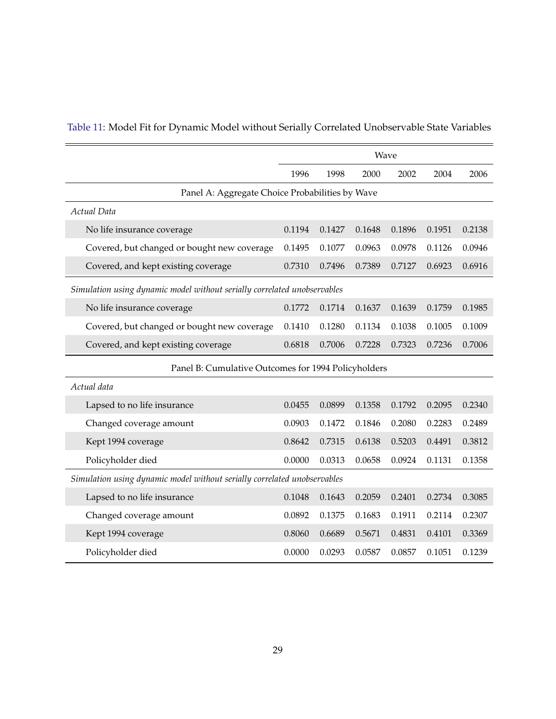|                                                                          | Wave   |        |        |        |        |        |  |
|--------------------------------------------------------------------------|--------|--------|--------|--------|--------|--------|--|
|                                                                          | 1996   | 1998   | 2000   | 2002   | 2004   | 2006   |  |
| Panel A: Aggregate Choice Probabilities by Wave                          |        |        |        |        |        |        |  |
| Actual Data                                                              |        |        |        |        |        |        |  |
| No life insurance coverage                                               | 0.1194 | 0.1427 | 0.1648 | 0.1896 | 0.1951 | 0.2138 |  |
| Covered, but changed or bought new coverage                              | 0.1495 | 0.1077 | 0.0963 | 0.0978 | 0.1126 | 0.0946 |  |
| Covered, and kept existing coverage                                      | 0.7310 | 0.7496 | 0.7389 | 0.7127 | 0.6923 | 0.6916 |  |
| Simulation using dynamic model without serially correlated unobservables |        |        |        |        |        |        |  |
| No life insurance coverage                                               | 0.1772 | 0.1714 | 0.1637 | 0.1639 | 0.1759 | 0.1985 |  |
| Covered, but changed or bought new coverage                              | 0.1410 | 0.1280 | 0.1134 | 0.1038 | 0.1005 | 0.1009 |  |
| Covered, and kept existing coverage                                      | 0.6818 | 0.7006 | 0.7228 | 0.7323 | 0.7236 | 0.7006 |  |
| Panel B: Cumulative Outcomes for 1994 Policyholders                      |        |        |        |        |        |        |  |
| Actual data                                                              |        |        |        |        |        |        |  |
| Lapsed to no life insurance                                              | 0.0455 | 0.0899 | 0.1358 | 0.1792 | 0.2095 | 0.2340 |  |
| Changed coverage amount                                                  | 0.0903 | 0.1472 | 0.1846 | 0.2080 | 0.2283 | 0.2489 |  |
| Kept 1994 coverage                                                       | 0.8642 | 0.7315 | 0.6138 | 0.5203 | 0.4491 | 0.3812 |  |
| Policyholder died                                                        | 0.0000 | 0.0313 | 0.0658 | 0.0924 | 0.1131 | 0.1358 |  |
| Simulation using dynamic model without serially correlated unobservables |        |        |        |        |        |        |  |
| Lapsed to no life insurance                                              | 0.1048 | 0.1643 | 0.2059 | 0.2401 | 0.2734 | 0.3085 |  |
| Changed coverage amount                                                  | 0.0892 | 0.1375 | 0.1683 | 0.1911 | 0.2114 | 0.2307 |  |
| Kept 1994 coverage                                                       | 0.8060 | 0.6689 | 0.5671 | 0.4831 | 0.4101 | 0.3369 |  |
| Policyholder died                                                        | 0.0000 | 0.0293 | 0.0587 | 0.0857 | 0.1051 | 0.1239 |  |

## <span id="page-29-0"></span>Table 11: Model Fit for Dynamic Model without Serially Correlated Unobservable State Variables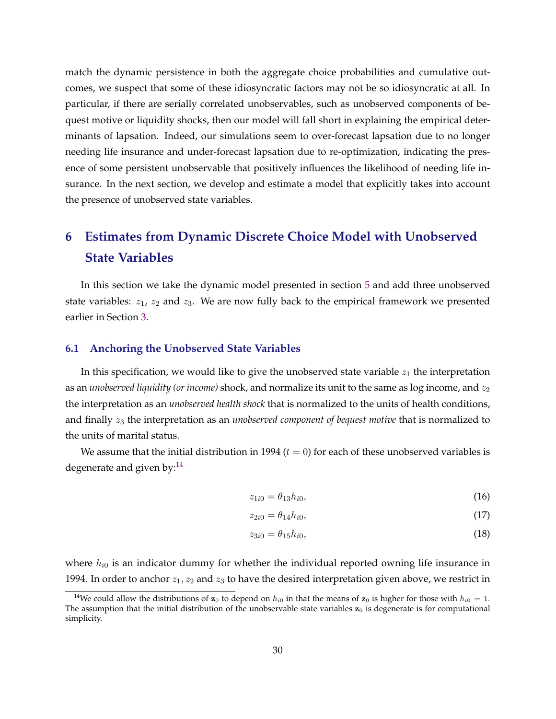<span id="page-30-0"></span>match the dynamic persistence in both the aggregate choice probabilities and cumulative outcomes, we suspect that some of these idiosyncratic factors may not be so idiosyncratic at all. In particular, if there are serially correlated unobservables, such as unobserved components of bequest motive or liquidity shocks, then our model will fall short in explaining the empirical determinants of lapsation. Indeed, our simulations seem to over-forecast lapsation due to no longer needing life insurance and under-forecast lapsation due to re-optimization, indicating the presence of some persistent unobservable that positively influences the likelihood of needing life insurance. In the next section, we develop and estimate a model that explicitly takes into account the presence of unobserved state variables.

## **6 Estimates from Dynamic Discrete Choice Model with Unobserved State Variables**

In this section we take the dynamic model presented in section [5](#page-24-0) and add three unobserved state variables:  $z_1$ ,  $z_2$  and  $z_3$ . We are now fully back to the empirical framework we presented earlier in Section [3.](#page-13-0)

#### **6.1 Anchoring the Unobserved State Variables**

In this specification, we would like to give the unobserved state variable  $z_1$  the interpretation as an *unobserved liquidity (or income)* shock, and normalize its unit to the same as log income, and  $z_2$ the interpretation as an *unobserved health shock* that is normalized to the units of health conditions, and finally  $z_3$  the interpretation as an *unobserved component of bequest motive* that is normalized to the units of marital status.

We assume that the initial distribution in 1994  $(t = 0)$  for each of these unobserved variables is degenerate and given by: $^{14}$ 

$$
z_{1i0} = \theta_{13} h_{i0}, \tag{16}
$$

$$
z_{2i0} = \theta_{14} h_{i0},\tag{17}
$$

$$
z_{3i0} = \theta_{15} h_{i0},\tag{18}
$$

where  $h_{i0}$  is an indicator dummy for whether the individual reported owning life insurance in 1994. In order to anchor  $z_1, z_2$  and  $z_3$  to have the desired interpretation given above, we restrict in

<sup>&</sup>lt;sup>14</sup>We could allow the distributions of  $z_0$  to depend on  $h_{i0}$  in that the means of  $z_0$  is higher for those with  $h_{i0} = 1$ . The assumption that the initial distribution of the unobservable state variables  $z_0$  is degenerate is for computational simplicity.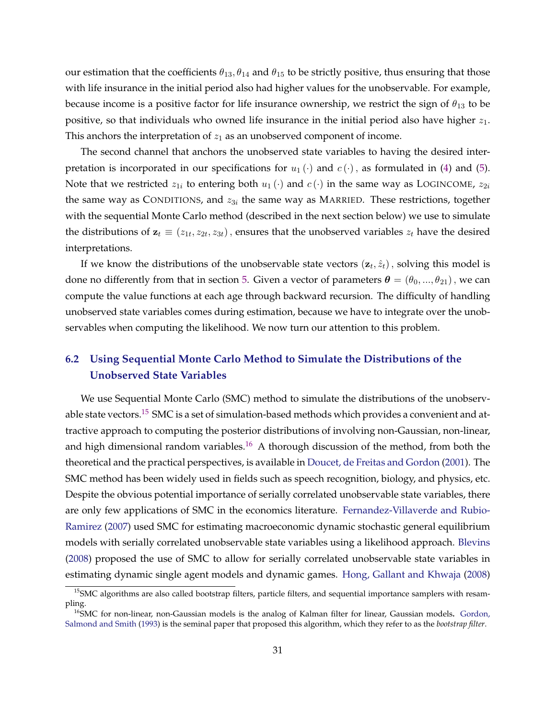<span id="page-31-0"></span>our estimation that the coefficients  $\theta_{13}$ ,  $\theta_{14}$  and  $\theta_{15}$  to be strictly positive, thus ensuring that those with life insurance in the initial period also had higher values for the unobservable. For example, because income is a positive factor for life insurance ownership, we restrict the sign of  $\theta_{13}$  to be positive, so that individuals who owned life insurance in the initial period also have higher  $z_1$ . This anchors the interpretation of  $z_1$  as an unobserved component of income.

The second channel that anchors the unobserved state variables to having the desired interpretation is incorporated in our specifications for  $u_1(\cdot)$  and  $c(\cdot)$ , as formulated in [\(4\)](#page-15-0) and [\(5\)](#page-15-0). Note that we restricted  $z_{1i}$  to entering both  $u_1(\cdot)$  and  $c(\cdot)$  in the same way as LOGINCOME,  $z_{2i}$ the same way as CONDITIONS, and  $z_{3i}$  the same way as MARRIED. These restrictions, together with the sequential Monte Carlo method (described in the next section below) we use to simulate the distributions of  $\mathbf{z}_t \equiv (z_{1t}, z_{2t}, z_{3t})$ , ensures that the unobserved variables  $z_t$  have the desired interpretations.

If we know the distributions of the unobservable state vectors  $(\mathbf{z}_t, \hat{z}_t)$ , solving this model is done no differently from that in section [5.](#page-24-0) Given a vector of parameters  $\boldsymbol{\theta} = (\theta_0, ..., \theta_{21})$ , we can compute the value functions at each age through backward recursion. The difficulty of handling unobserved state variables comes during estimation, because we have to integrate over the unobservables when computing the likelihood. We now turn our attention to this problem.

## **6.2 Using Sequential Monte Carlo Method to Simulate the Distributions of the Unobserved State Variables**

We use Sequential Monte Carlo (SMC) method to simulate the distributions of the unobservable state vectors.<sup>15</sup> SMC is a set of simulation-based methods which provides a convenient and attractive approach to computing the posterior distributions of involving non-Gaussian, non-linear, and high dimensional random variables.<sup>16</sup> A thorough discussion of the method, from both the theoretical and the practical perspectives, is available in [Doucet, de Freitas and Gordon](#page-45-0) [\(2001\)](#page-45-0). The SMC method has been widely used in fields such as speech recognition, biology, and physics, etc. Despite the obvious potential importance of serially correlated unobservable state variables, there are only few applications of SMC in the economics literature. [Fernandez-Villaverde and Rubio-](#page-45-0)[Ramirez](#page-45-0) [\(2007\)](#page-45-0) used SMC for estimating macroeconomic dynamic stochastic general equilibrium models with serially correlated unobservable state variables using a likelihood approach. [Blevins](#page-45-0) [\(2008\)](#page-45-0) proposed the use of SMC to allow for serially correlated unobservable state variables in estimating dynamic single agent models and dynamic games. [Hong, Gallant and Khwaja](#page-46-0) [\(2008\)](#page-46-0)

<sup>&</sup>lt;sup>15</sup>SMC algorithms are also called bootstrap filters, particle filters, and sequential importance samplers with resampling.

<sup>&</sup>lt;sup>16</sup>SMC for non-linear, non-Gaussian models is the analog of Kalman filter for linear, Gaussian models. [Gordon,](#page-46-0) [Salmond and Smith](#page-46-0) [\(1993\)](#page-46-0) is the seminal paper that proposed this algorithm, which they refer to as the *bootstrap filter*.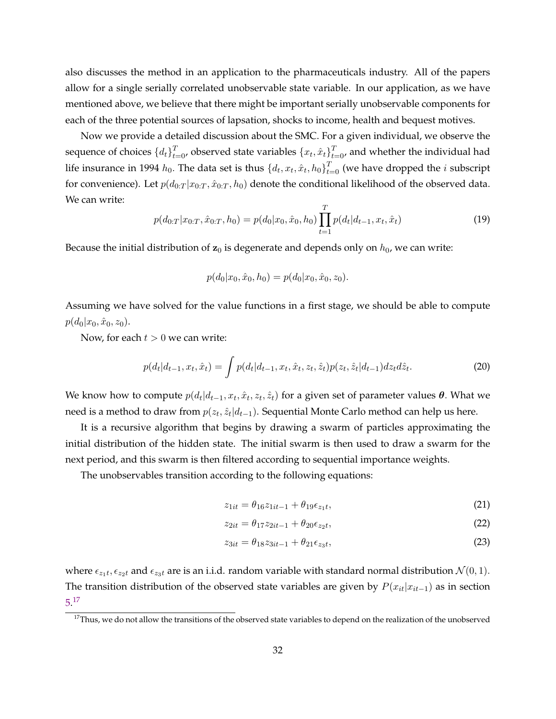<span id="page-32-0"></span>also discusses the method in an application to the pharmaceuticals industry. All of the papers allow for a single serially correlated unobservable state variable. In our application, as we have mentioned above, we believe that there might be important serially unobservable components for each of the three potential sources of lapsation, shocks to income, health and bequest motives.

Now we provide a detailed discussion about the SMC. For a given individual, we observe the sequence of choices  $\{d_t\}_{t=0}^T$ , observed state variables  $\{x_t, \hat{x}_t\}_{t=0}^T$ , and whether the individual had life insurance in 1994  $h_0$ . The data set is thus  $\{d_t, x_t, \hat{x}_t, h_0\}_{t=0}^T$  (we have dropped the  $i$  subscript for convenience). Let  $p(d_{0:T}|x_{0:T}, \hat{x}_{0:T}, h_0)$  denote the conditional likelihood of the observed data. We can write:

$$
p(d_{0:T}|x_{0:T}, \hat{x}_{0:T}, h_0) = p(d_0|x_0, \hat{x}_0, h_0) \prod_{t=1}^T p(d_t|d_{t-1}, x_t, \hat{x}_t)
$$
\n(19)

Because the initial distribution of  $z_0$  is degenerate and depends only on  $h_0$ , we can write:

$$
p(d_0|x_0, \hat{x}_0, h_0) = p(d_0|x_0, \hat{x}_0, z_0).
$$

Assuming we have solved for the value functions in a first stage, we should be able to compute  $p(d_0|x_0, \hat{x}_0, z_0).$ 

Now, for each  $t > 0$  we can write:

$$
p(d_t|d_{t-1}, x_t, \hat{x}_t) = \int p(d_t|d_{t-1}, x_t, \hat{x}_t, z_t, \hat{z}_t) p(z_t, \hat{z}_t|d_{t-1}) dz_t d\hat{z}_t.
$$
\n(20)

We know how to compute  $p(d_t|d_{t-1}, x_t, \hat{x}_t, z_t, \hat{z}_t)$  for a given set of parameter values  $\bm{\theta}$ . What we need is a method to draw from  $p(z_t, \hat{z}_t | d_{t-1})$ . Sequential Monte Carlo method can help us here.

It is a recursive algorithm that begins by drawing a swarm of particles approximating the initial distribution of the hidden state. The initial swarm is then used to draw a swarm for the next period, and this swarm is then filtered according to sequential importance weights.

The unobservables transition according to the following equations:

$$
z_{1it} = \theta_{16} z_{1it-1} + \theta_{19} \epsilon_{z_1 t}, \tag{21}
$$

$$
z_{2it} = \theta_{17} z_{2it-1} + \theta_{20} \epsilon_{z_2 t}, \tag{22}
$$

$$
z_{3it} = \theta_{18} z_{3it-1} + \theta_{21} \epsilon_{z3t},\tag{23}
$$

where  $\epsilon_{z_1t}, \epsilon_{z_2t}$  and  $\epsilon_{z_3t}$  are is an i.i.d. random variable with standard normal distribution  $\mathcal{N}(0, 1)$ . The transition distribution of the observed state variables are given by  $P(x_{it}|x_{it-1})$  as in section [5.](#page-24-0) 17

 $17$ Thus, we do not allow the transitions of the observed state variables to depend on the realization of the unobserved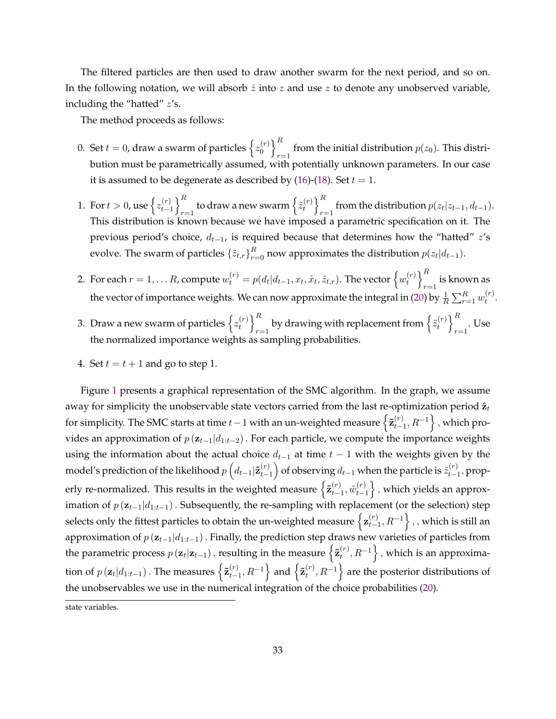The filtered particles are then used to draw another swarm for the next period, and so on. In the following notation, we will absorb  $\hat{z}$  into  $z$  and use  $z$  to denote any unobserved variable, including the "hatted"  $z$ 's.

The method proceeds as follows:

- 0. Set  $t=0$ , draw a swarm of particles  $\left\{z_{0}^{(r)}\right\}$  ${r \choose 0}$ from the initial distribution  $p(z_0)$ . This distribution must be parametrically assumed, with potentially unknown parameters. In our case it is assumed to be degenerate as described by [\(16\)](#page-30-0)-[\(18\)](#page-30-0). Set  $t = 1$ .
- 1. For  $t > 0$ , use  $\left\{ z_{t-}^{(r)} \right\}$  $\binom{r}{t-1}$  $\frac{\kappa}{r=1}$  to draw a new swarm  $\left\{ \tilde{z}_{t}^{(r)} \right\}$  $\binom{r}{t}$ from the distribution  $p(z_t|z_{t-1}, d_{t-1})$ . This distribution is known because we have imposed a parametric specification on it. The previous period's choice,  $d_{t-1}$ , is required because that determines how the "hatted"  $z$ 's evolve. The swarm of particles  $\{\tilde{z}_{t,r}\}_{r=0}^R$  now approximates the distribution  $p(z_t|d_{t-1})$ .
- 2. For each  $r=1,\ldots R$ , compute  $w_t^{(r)}=p(d_t|d_{t-1},x_t,\hat{x}_t,\tilde{z}_{t,r}).$  The vector  $\left\{w_t^{(r)}\right\}_{t=1}$  $\binom{r}{t}$  $_{r=1}$  is known as the vector of importance weights. We can now approximate the integral in [\(20\)](#page-32-0) by  $\frac{1}{R}\sum_{r=1}^R w_t^{(r)}$  $t^{\prime}$ .
- 3. Draw a new swarm of particles  $\left\{z^{(r)}_t\right\}$  $\binom{r}{t}$  $\frac{\kappa}{r-1}$  by drawing with replacement from  $\left\{\tilde{z}_{t}^{(r)}\right\}$  $\binom{r}{t}$ . Use the normalized importance weights as sampling probabilities.
- 4. Set  $t = t + 1$  and go to step 1.

Figure [1](#page-34-0) presents a graphical representation of the SMC algorithm. In the graph, we assume away for simplicity the unobservable state vectors carried from the last re-optimization period  $\hat{z}_t$ for simplicity. The SMC starts at time  $t-1$  with an un-weighted measure  $\left\{ \tilde{\mathbf{z}}_{t-1}^{(r)},R^{-1}\right\}$  , which provides an approximation of  $p(\mathbf{z}_{t-1}|d_{1:t-2})$ . For each particle, we compute the importance weights using the information about the actual choice  $d_{t-1}$  at time  $t-1$  with the weights given by the model's prediction of the likelihood  $p\left(d_{t-1} | \tilde{\mathbf{z}}_{t-1}^{(r)}\right)$  of observing  $d_{t-1}$  when the particle is  $\tilde{z}_{t-1}^{(r)}$  $_{t-1}^{(r)}$ , properly re-normalized. This results in the weighted measure  $\left\{ \tilde{\mathbf{z}}_{t-1}^{(r)}, \tilde{w}_{t-1}^{(r)} \right\}$  $_{t-1}^{(r)}\Big\}$  , which yields an approximation of  $p(\mathbf{z}_{t-1} | d_{1:t-1})$ . Subsequently, the re-sampling with replacement (or the selection) step selects only the fittest particles to obtain the un-weighted measure  $\big\{\mathbf{z}_{t-}^{(r)}$  $_{t-1}^{(r)}, R^{-1}\Big\}$  , , which is still an approximation of  $p(\mathbf{z}_{t-1}|d_{1:t-1})$ . Finally, the prediction step draws new varieties of particles from the parametric process  $p\left(\mathbf{z}_t\vert\mathbf{z}_{t-1}\right),$  resulting in the measure  $\left\{\tilde{\mathbf{z}}_t^{(r)},R^{-1}\right\},$  which is an approximation of  $p\left(\mathbf{z}_t|d_{1:t-1}\right)$  . The measures  $\left\{\tilde{\mathbf{z}}_{t-1}^{(r)},R^{-1}\right\}$  and  $\left\{\tilde{\mathbf{z}}_{t}^{(r)},R^{-1}\right\}$  are the posterior distributions of the unobservables we use in the numerical integration of the choice probabilities [\(20\)](#page-32-0).

state variables.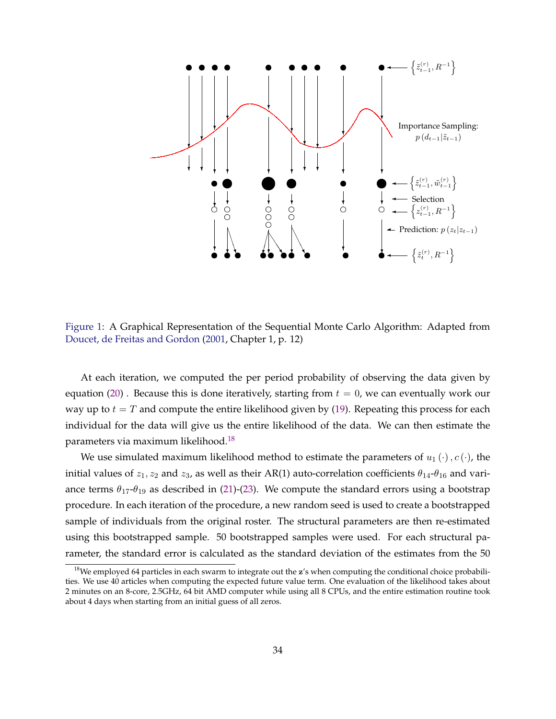<span id="page-34-0"></span>

Figure 1: A Graphical Representation of the Sequential Monte Carlo Algorithm: Adapted from [Doucet, de Freitas and Gordon](#page-45-0) [\(2001,](#page-45-0) Chapter 1, p. 12)

At each iteration, we computed the per period probability of observing the data given by equation [\(20\)](#page-32-0) . Because this is done iteratively, starting from  $t = 0$ , we can eventually work our way up to  $t = T$  and compute the entire likelihood given by [\(19\)](#page-32-0). Repeating this process for each individual for the data will give us the entire likelihood of the data. We can then estimate the parameters via maximum likelihood.<sup>18</sup>

We use simulated maximum likelihood method to estimate the parameters of  $u_1(\cdot), c(\cdot)$ , the initial values of  $z_1, z_2$  and  $z_3$ , as well as their AR(1) auto-correlation coefficients  $\theta_{14}$ - $\theta_{16}$  and variance terms  $\theta_{17}$ - $\theta_{19}$  as described in [\(21\)](#page-32-0)-[\(23\)](#page-32-0). We compute the standard errors using a bootstrap procedure. In each iteration of the procedure, a new random seed is used to create a bootstrapped sample of individuals from the original roster. The structural parameters are then re-estimated using this bootstrapped sample. 50 bootstrapped samples were used. For each structural parameter, the standard error is calculated as the standard deviation of the estimates from the 50

 $18$ We employed 64 particles in each swarm to integrate out the  $z$ 's when computing the conditional choice probabilities. We use 40 articles when computing the expected future value term. One evaluation of the likelihood takes about 2 minutes on an 8-core, 2.5GHz, 64 bit AMD computer while using all 8 CPUs, and the entire estimation routine took about 4 days when starting from an initial guess of all zeros.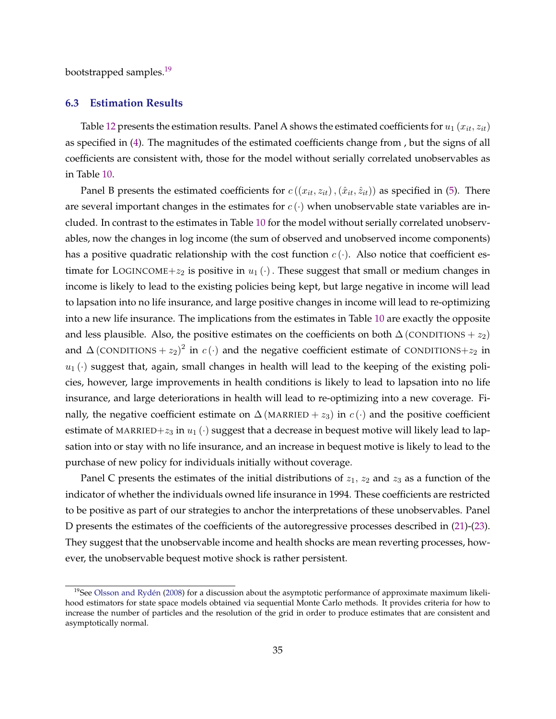bootstrapped samples.<sup>19</sup>

#### **6.3 Estimation Results**

Table [12](#page-36-0) presents the estimation results. Panel A shows the estimated coefficients for  $u_1(x_{it}, z_{it})$ as specified in [\(4\)](#page-15-0). The magnitudes of the estimated coefficients change from , but the signs of all coefficients are consistent with, those for the model without serially correlated unobservables as in Table [10.](#page-27-0)

Panel B presents the estimated coefficients for  $c((x_{it}, z_{it}),(\hat{x}_{it}, \hat{z}_{it}))$  as specified in [\(5\)](#page-15-0). There are several important changes in the estimates for  $c(\cdot)$  when unobservable state variables are included. In contrast to the estimates in Table [10](#page-27-0) for the model without serially correlated unobservables, now the changes in log income (the sum of observed and unobserved income components) has a positive quadratic relationship with the cost function  $c(\cdot)$ . Also notice that coefficient estimate for LOGINCOME+ $z_2$  is positive in  $u_1(\cdot)$ . These suggest that small or medium changes in income is likely to lead to the existing policies being kept, but large negative in income will lead to lapsation into no life insurance, and large positive changes in income will lead to re-optimizing into a new life insurance. The implications from the estimates in Table [10](#page-27-0) are exactly the opposite and less plausible. Also, the positive estimates on the coefficients on both  $\Delta$  (CONDITIONS +  $z_2$ ) and  $\Delta$  (CONDITIONS  $+ z_2)^2$  in  $c(\cdot)$  and the negative coefficient estimate of CONDITIONS $+ z_2$  in  $u_1(\cdot)$  suggest that, again, small changes in health will lead to the keeping of the existing policies, however, large improvements in health conditions is likely to lead to lapsation into no life insurance, and large deteriorations in health will lead to re-optimizing into a new coverage. Finally, the negative coefficient estimate on  $\Delta$  (MARRIED +  $z_3$ ) in  $c(\cdot)$  and the positive coefficient estimate of MARRIED+ $z_3$  in  $u_1(\cdot)$  suggest that a decrease in bequest motive will likely lead to lapsation into or stay with no life insurance, and an increase in bequest motive is likely to lead to the purchase of new policy for individuals initially without coverage.

Panel C presents the estimates of the initial distributions of  $z_1$ ,  $z_2$  and  $z_3$  as a function of the indicator of whether the individuals owned life insurance in 1994. These coefficients are restricted to be positive as part of our strategies to anchor the interpretations of these unobservables. Panel D presents the estimates of the coefficients of the autoregressive processes described in [\(21\)](#page-32-0)-[\(23\)](#page-32-0). They suggest that the unobservable income and health shocks are mean reverting processes, however, the unobservable bequest motive shock is rather persistent.

 $19$ See Olsson and Rydén [\(2008\)](#page-46-0) for a discussion about the asymptotic performance of approximate maximum likelihood estimators for state space models obtained via sequential Monte Carlo methods. It provides criteria for how to increase the number of particles and the resolution of the grid in order to produce estimates that are consistent and asymptotically normal.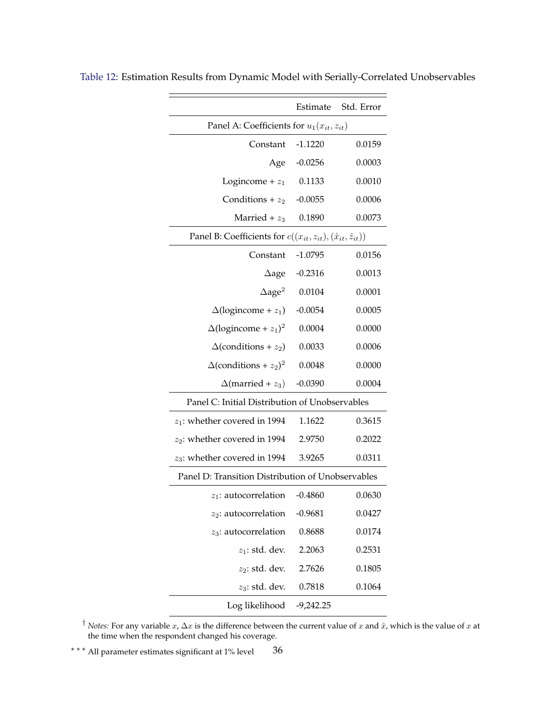|                                                                               | Estimate    | Std. Error |  |  |  |  |
|-------------------------------------------------------------------------------|-------------|------------|--|--|--|--|
| Panel A: Coefficients for $u_1(x_{it}, z_{it})$                               |             |            |  |  |  |  |
| Constant                                                                      | $-1.1220$   | 0.0159     |  |  |  |  |
| Age                                                                           | $-0.0256$   | 0.0003     |  |  |  |  |
| Logincome + $z_1$                                                             | 0.1133      | 0.0010     |  |  |  |  |
| Conditions + $z_2$                                                            | $-0.0055$   | 0.0006     |  |  |  |  |
| Married + $z_3$                                                               | 0.1890      | 0.0073     |  |  |  |  |
| Panel B: Coefficients for $c((x_{it}, z_{it}), (\hat{x}_{it}, \hat{z}_{it}))$ |             |            |  |  |  |  |
| Constant                                                                      | $-1.0795$   | 0.0156     |  |  |  |  |
| $\Delta$ age                                                                  | $-0.2316$   | 0.0013     |  |  |  |  |
| $\Delta$ age <sup>2</sup>                                                     | 0.0104      | 0.0001     |  |  |  |  |
| $\Delta$ (logincome + $z_1$ )                                                 | $-0.0054$   | 0.0005     |  |  |  |  |
| $\Delta$ (logincome + $z_1$ ) <sup>2</sup>                                    | 0.0004      | 0.0000     |  |  |  |  |
| $\Delta$ (conditions + $z_2$ )                                                | 0.0033      | 0.0006     |  |  |  |  |
| $\Delta$ (conditions + $z_2$ ) <sup>2</sup>                                   | 0.0048      | 0.0000     |  |  |  |  |
| $\Delta$ (married + $z_3$ )                                                   | $-0.0390$   | 0.0004     |  |  |  |  |
| Panel C: Initial Distribution of Unobservables                                |             |            |  |  |  |  |
| $z_1$ : whether covered in 1994                                               | 1.1622      | 0.3615     |  |  |  |  |
| $z_2$ : whether covered in 1994                                               | 2.9750      | 0.2022     |  |  |  |  |
| $z_3$ : whether covered in 1994                                               | 3.9265      | 0.0311     |  |  |  |  |
| Panel D: Transition Distribution of Unobservables                             |             |            |  |  |  |  |
| $z_1$ : autocorrelation                                                       | $-0.4860$   | 0.0630     |  |  |  |  |
| $z_2$ : autocorrelation                                                       | $-0.9681$   | 0.0427     |  |  |  |  |
| $z_3$ : autocorrelation                                                       | 0.8688      | 0.0174     |  |  |  |  |
| $z_1$ : std. dev.                                                             | 2.2063      | 0.2531     |  |  |  |  |
| $z_2$ : std. dev.                                                             | 2.7626      | 0.1805     |  |  |  |  |
| $z_3$ : std. dev.                                                             | 0.7818      | 0.1064     |  |  |  |  |
| Log likelihood                                                                | $-9,242.25$ |            |  |  |  |  |

<span id="page-36-0"></span>Table 12: Estimation Results from Dynamic Model with Serially-Correlated Unobservables

<sup>†</sup> *Notes:* For any variable  $x$ ,  $\Delta x$  is the difference between the current value of  $x$  and  $\hat{x}$ , which is the value of  $x$  at the time when the respondent changed his coverage.

\*\*\* All parameter estimates significant at 1% level 36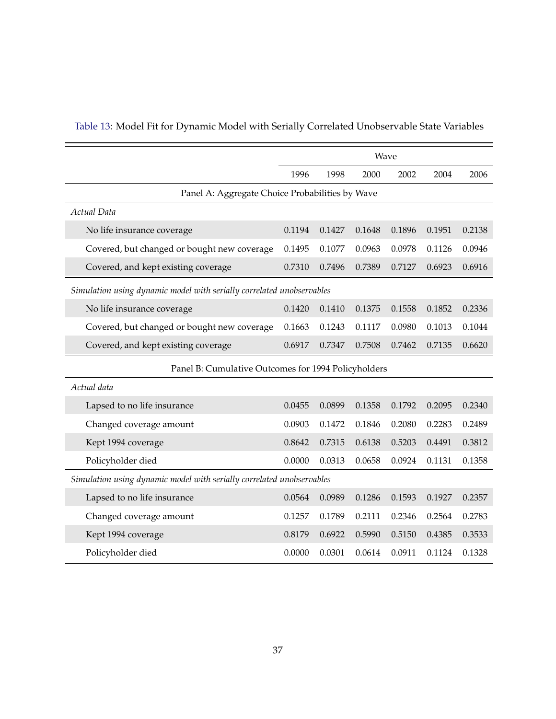|                                                                       | Wave   |        |        |        |        |        |  |
|-----------------------------------------------------------------------|--------|--------|--------|--------|--------|--------|--|
|                                                                       | 1996   | 1998   | 2000   | 2002   | 2004   | 2006   |  |
| Panel A: Aggregate Choice Probabilities by Wave                       |        |        |        |        |        |        |  |
| Actual Data                                                           |        |        |        |        |        |        |  |
| No life insurance coverage                                            | 0.1194 | 0.1427 | 0.1648 | 0.1896 | 0.1951 | 0.2138 |  |
| Covered, but changed or bought new coverage                           | 0.1495 | 0.1077 | 0.0963 | 0.0978 | 0.1126 | 0.0946 |  |
| Covered, and kept existing coverage                                   | 0.7310 | 0.7496 | 0.7389 | 0.7127 | 0.6923 | 0.6916 |  |
| Simulation using dynamic model with serially correlated unobservables |        |        |        |        |        |        |  |
| No life insurance coverage                                            | 0.1420 | 0.1410 | 0.1375 | 0.1558 | 0.1852 | 0.2336 |  |
| Covered, but changed or bought new coverage                           | 0.1663 | 0.1243 | 0.1117 | 0.0980 | 0.1013 | 0.1044 |  |
|                                                                       |        |        |        |        |        |        |  |
| Covered, and kept existing coverage                                   | 0.6917 | 0.7347 | 0.7508 | 0.7462 | 0.7135 | 0.6620 |  |
| Panel B: Cumulative Outcomes for 1994 Policyholders                   |        |        |        |        |        |        |  |
| Actual data                                                           |        |        |        |        |        |        |  |
| Lapsed to no life insurance                                           | 0.0455 | 0.0899 | 0.1358 | 0.1792 | 0.2095 | 0.2340 |  |
| Changed coverage amount                                               | 0.0903 | 0.1472 | 0.1846 | 0.2080 | 0.2283 | 0.2489 |  |
| Kept 1994 coverage                                                    | 0.8642 | 0.7315 | 0.6138 | 0.5203 | 0.4491 | 0.3812 |  |
| Policyholder died                                                     | 0.0000 | 0.0313 | 0.0658 | 0.0924 | 0.1131 | 0.1358 |  |
| Simulation using dynamic model with serially correlated unobservables |        |        |        |        |        |        |  |
| Lapsed to no life insurance                                           | 0.0564 | 0.0989 | 0.1286 | 0.1593 | 0.1927 | 0.2357 |  |
| Changed coverage amount                                               | 0.1257 | 0.1789 | 0.2111 | 0.2346 | 0.2564 | 0.2783 |  |
| Kept 1994 coverage                                                    | 0.8179 | 0.6922 | 0.5990 | 0.5150 | 0.4385 | 0.3533 |  |
| Policyholder died                                                     | 0.0000 | 0.0301 | 0.0614 | 0.0911 | 0.1124 | 0.1328 |  |

## <span id="page-37-0"></span>Table 13: Model Fit for Dynamic Model with Serially Correlated Unobservable State Variables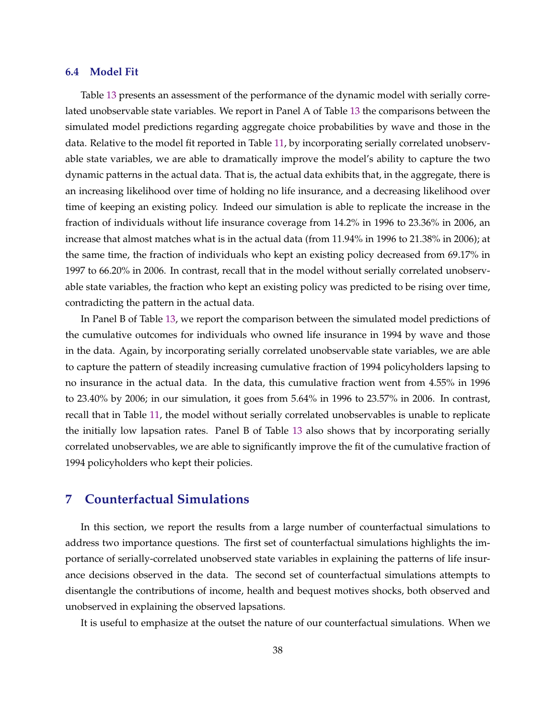#### <span id="page-38-0"></span>**6.4 Model Fit**

Table [13](#page-37-0) presents an assessment of the performance of the dynamic model with serially correlated unobservable state variables. We report in Panel A of Table [13](#page-37-0) the comparisons between the simulated model predictions regarding aggregate choice probabilities by wave and those in the data. Relative to the model fit reported in Table [11,](#page-29-0) by incorporating serially correlated unobservable state variables, we are able to dramatically improve the model's ability to capture the two dynamic patterns in the actual data. That is, the actual data exhibits that, in the aggregate, there is an increasing likelihood over time of holding no life insurance, and a decreasing likelihood over time of keeping an existing policy. Indeed our simulation is able to replicate the increase in the fraction of individuals without life insurance coverage from 14.2% in 1996 to 23.36% in 2006, an increase that almost matches what is in the actual data (from 11.94% in 1996 to 21.38% in 2006); at the same time, the fraction of individuals who kept an existing policy decreased from 69.17% in 1997 to 66.20% in 2006. In contrast, recall that in the model without serially correlated unobservable state variables, the fraction who kept an existing policy was predicted to be rising over time, contradicting the pattern in the actual data.

In Panel B of Table [13,](#page-37-0) we report the comparison between the simulated model predictions of the cumulative outcomes for individuals who owned life insurance in 1994 by wave and those in the data. Again, by incorporating serially correlated unobservable state variables, we are able to capture the pattern of steadily increasing cumulative fraction of 1994 policyholders lapsing to no insurance in the actual data. In the data, this cumulative fraction went from 4.55% in 1996 to 23.40% by 2006; in our simulation, it goes from 5.64% in 1996 to 23.57% in 2006. In contrast, recall that in Table [11,](#page-29-0) the model without serially correlated unobservables is unable to replicate the initially low lapsation rates. Panel B of Table [13](#page-37-0) also shows that by incorporating serially correlated unobservables, we are able to significantly improve the fit of the cumulative fraction of 1994 policyholders who kept their policies.

### **7 Counterfactual Simulations**

In this section, we report the results from a large number of counterfactual simulations to address two importance questions. The first set of counterfactual simulations highlights the importance of serially-correlated unobserved state variables in explaining the patterns of life insurance decisions observed in the data. The second set of counterfactual simulations attempts to disentangle the contributions of income, health and bequest motives shocks, both observed and unobserved in explaining the observed lapsations.

It is useful to emphasize at the outset the nature of our counterfactual simulations. When we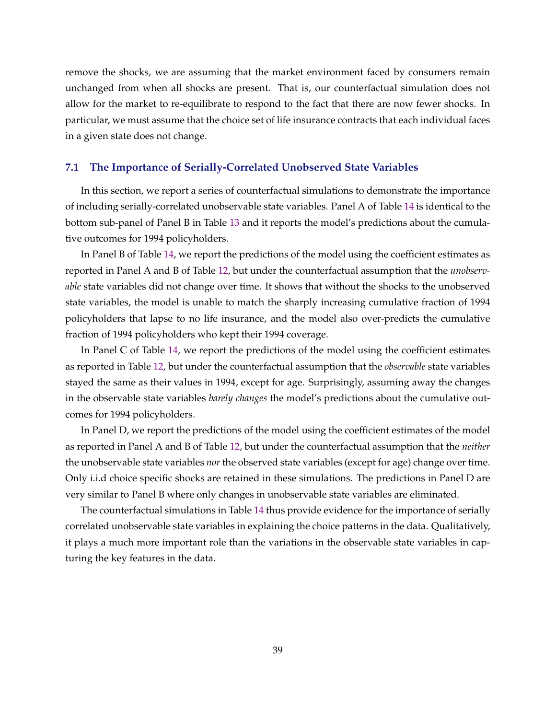remove the shocks, we are assuming that the market environment faced by consumers remain unchanged from when all shocks are present. That is, our counterfactual simulation does not allow for the market to re-equilibrate to respond to the fact that there are now fewer shocks. In particular, we must assume that the choice set of life insurance contracts that each individual faces in a given state does not change.

### **7.1 The Importance of Serially-Correlated Unobserved State Variables**

In this section, we report a series of counterfactual simulations to demonstrate the importance of including serially-correlated unobservable state variables. Panel A of Table [14](#page-40-0) is identical to the bottom sub-panel of Panel B in Table [13](#page-37-0) and it reports the model's predictions about the cumulative outcomes for 1994 policyholders.

In Panel B of Table [14,](#page-40-0) we report the predictions of the model using the coefficient estimates as reported in Panel A and B of Table [12,](#page-36-0) but under the counterfactual assumption that the *unobservable* state variables did not change over time. It shows that without the shocks to the unobserved state variables, the model is unable to match the sharply increasing cumulative fraction of 1994 policyholders that lapse to no life insurance, and the model also over-predicts the cumulative fraction of 1994 policyholders who kept their 1994 coverage.

In Panel C of Table [14,](#page-40-0) we report the predictions of the model using the coefficient estimates as reported in Table [12,](#page-36-0) but under the counterfactual assumption that the *observable* state variables stayed the same as their values in 1994, except for age. Surprisingly, assuming away the changes in the observable state variables *barely changes* the model's predictions about the cumulative outcomes for 1994 policyholders.

In Panel D, we report the predictions of the model using the coefficient estimates of the model as reported in Panel A and B of Table [12,](#page-36-0) but under the counterfactual assumption that the *neither* the unobservable state variables *nor* the observed state variables (except for age) change over time. Only i.i.d choice specific shocks are retained in these simulations. The predictions in Panel D are very similar to Panel B where only changes in unobservable state variables are eliminated.

The counterfactual simulations in Table [14](#page-40-0) thus provide evidence for the importance of serially correlated unobservable state variables in explaining the choice patterns in the data. Qualitatively, it plays a much more important role than the variations in the observable state variables in capturing the key features in the data.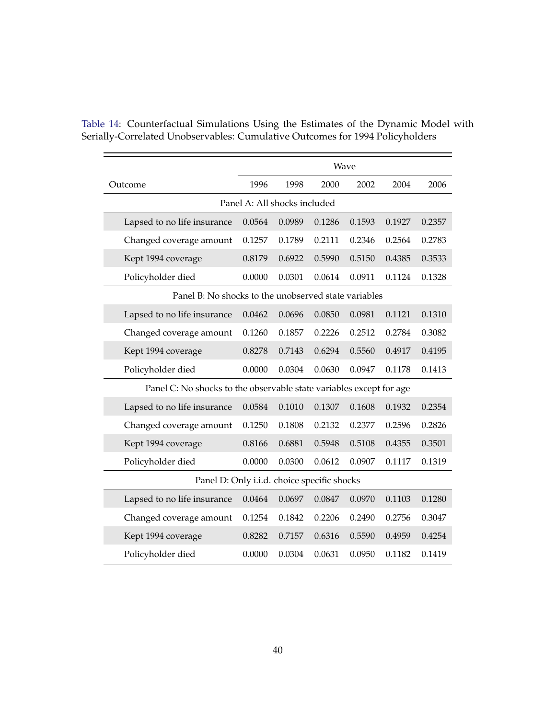|                                                                     | Wave   |        |        |        |        |        |  |  |
|---------------------------------------------------------------------|--------|--------|--------|--------|--------|--------|--|--|
| Outcome                                                             | 1996   | 1998   | 2000   | 2002   | 2004   | 2006   |  |  |
| Panel A: All shocks included                                        |        |        |        |        |        |        |  |  |
| Lapsed to no life insurance                                         | 0.0564 | 0.0989 | 0.1286 | 0.1593 | 0.1927 | 0.2357 |  |  |
| Changed coverage amount                                             | 0.1257 | 0.1789 | 0.2111 | 0.2346 | 0.2564 | 0.2783 |  |  |
| Kept 1994 coverage                                                  | 0.8179 | 0.6922 | 0.5990 | 0.5150 | 0.4385 | 0.3533 |  |  |
| Policyholder died                                                   | 0.0000 | 0.0301 | 0.0614 | 0.0911 | 0.1124 | 0.1328 |  |  |
| Panel B: No shocks to the unobserved state variables                |        |        |        |        |        |        |  |  |
| Lapsed to no life insurance                                         | 0.0462 | 0.0696 | 0.0850 | 0.0981 | 0.1121 | 0.1310 |  |  |
| Changed coverage amount                                             | 0.1260 | 0.1857 | 0.2226 | 0.2512 | 0.2784 | 0.3082 |  |  |
| Kept 1994 coverage                                                  | 0.8278 | 0.7143 | 0.6294 | 0.5560 | 0.4917 | 0.4195 |  |  |
| Policyholder died                                                   | 0.0000 | 0.0304 | 0.0630 | 0.0947 | 0.1178 | 0.1413 |  |  |
| Panel C: No shocks to the observable state variables except for age |        |        |        |        |        |        |  |  |
| Lapsed to no life insurance                                         | 0.0584 | 0.1010 | 0.1307 | 0.1608 | 0.1932 | 0.2354 |  |  |
| Changed coverage amount                                             | 0.1250 | 0.1808 | 0.2132 | 0.2377 | 0.2596 | 0.2826 |  |  |
| Kept 1994 coverage                                                  | 0.8166 | 0.6881 | 0.5948 | 0.5108 | 0.4355 | 0.3501 |  |  |
| Policyholder died                                                   | 0.0000 | 0.0300 | 0.0612 | 0.0907 | 0.1117 | 0.1319 |  |  |
| Panel D: Only i.i.d. choice specific shocks                         |        |        |        |        |        |        |  |  |
| Lapsed to no life insurance                                         | 0.0464 | 0.0697 | 0.0847 | 0.0970 | 0.1103 | 0.1280 |  |  |
| Changed coverage amount                                             | 0.1254 | 0.1842 | 0.2206 | 0.2490 | 0.2756 | 0.3047 |  |  |
| Kept 1994 coverage                                                  | 0.8282 | 0.7157 | 0.6316 | 0.5590 | 0.4959 | 0.4254 |  |  |
| Policyholder died                                                   | 0.0000 | 0.0304 | 0.0631 | 0.0950 | 0.1182 | 0.1419 |  |  |

<span id="page-40-0"></span>Table 14: Counterfactual Simulations Using the Estimates of the Dynamic Model with Serially-Correlated Unobservables: Cumulative Outcomes for 1994 Policyholders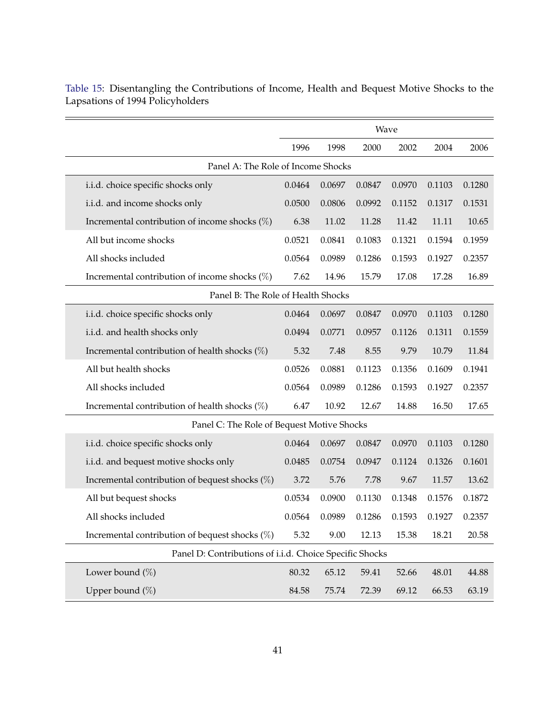|                                                         | Wave   |        |        |        |        |        |  |
|---------------------------------------------------------|--------|--------|--------|--------|--------|--------|--|
|                                                         | 1996   | 1998   | 2000   | 2002   | 2004   | 2006   |  |
| Panel A: The Role of Income Shocks                      |        |        |        |        |        |        |  |
| i.i.d. choice specific shocks only                      | 0.0464 | 0.0697 | 0.0847 | 0.0970 | 0.1103 | 0.1280 |  |
| i.i.d. and income shocks only                           | 0.0500 | 0.0806 | 0.0992 | 0.1152 | 0.1317 | 0.1531 |  |
| Incremental contribution of income shocks $(\%)$        | 6.38   | 11.02  | 11.28  | 11.42  | 11.11  | 10.65  |  |
| All but income shocks                                   | 0.0521 | 0.0841 | 0.1083 | 0.1321 | 0.1594 | 0.1959 |  |
| All shocks included                                     | 0.0564 | 0.0989 | 0.1286 | 0.1593 | 0.1927 | 0.2357 |  |
| Incremental contribution of income shocks $(\%)$        | 7.62   | 14.96  | 15.79  | 17.08  | 17.28  | 16.89  |  |
| Panel B: The Role of Health Shocks                      |        |        |        |        |        |        |  |
| i.i.d. choice specific shocks only                      | 0.0464 | 0.0697 | 0.0847 | 0.0970 | 0.1103 | 0.1280 |  |
| i.i.d. and health shocks only                           | 0.0494 | 0.0771 | 0.0957 | 0.1126 | 0.1311 | 0.1559 |  |
| Incremental contribution of health shocks $(\%)$        | 5.32   | 7.48   | 8.55   | 9.79   | 10.79  | 11.84  |  |
| All but health shocks                                   | 0.0526 | 0.0881 | 0.1123 | 0.1356 | 0.1609 | 0.1941 |  |
| All shocks included                                     | 0.0564 | 0.0989 | 0.1286 | 0.1593 | 0.1927 | 0.2357 |  |
| Incremental contribution of health shocks $(\%)$        | 6.47   | 10.92  | 12.67  | 14.88  | 16.50  | 17.65  |  |
| Panel C: The Role of Bequest Motive Shocks              |        |        |        |        |        |        |  |
| i.i.d. choice specific shocks only                      | 0.0464 | 0.0697 | 0.0847 | 0.0970 | 0.1103 | 0.1280 |  |
| i.i.d. and bequest motive shocks only                   | 0.0485 | 0.0754 | 0.0947 | 0.1124 | 0.1326 | 0.1601 |  |
| Incremental contribution of bequest shocks $(\%)$       | 3.72   | 5.76   | 7.78   | 9.67   | 11.57  | 13.62  |  |
| All but bequest shocks                                  | 0.0534 | 0.0900 | 0.1130 | 0.1348 | 0.1576 | 0.1872 |  |
| All shocks included                                     | 0.0564 | 0.0989 | 0.1286 | 0.1593 | 0.1927 | 0.2357 |  |
| Incremental contribution of bequest shocks (%)          | 5.32   | 9.00   | 12.13  | 15.38  | 18.21  | 20.58  |  |
| Panel D: Contributions of i.i.d. Choice Specific Shocks |        |        |        |        |        |        |  |
| Lower bound $(\%)$                                      | 80.32  | 65.12  | 59.41  | 52.66  | 48.01  | 44.88  |  |
| Upper bound $(\%)$                                      | 84.58  | 75.74  | 72.39  | 69.12  | 66.53  | 63.19  |  |

<span id="page-41-0"></span>Table 15: Disentangling the Contributions of Income, Health and Bequest Motive Shocks to the Lapsations of 1994 Policyholders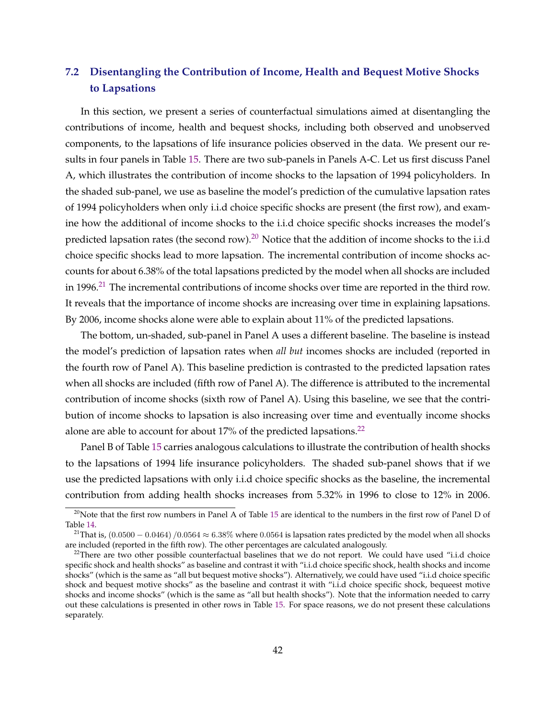## **7.2 Disentangling the Contribution of Income, Health and Bequest Motive Shocks to Lapsations**

In this section, we present a series of counterfactual simulations aimed at disentangling the contributions of income, health and bequest shocks, including both observed and unobserved components, to the lapsations of life insurance policies observed in the data. We present our results in four panels in Table [15.](#page-41-0) There are two sub-panels in Panels A-C. Let us first discuss Panel A, which illustrates the contribution of income shocks to the lapsation of 1994 policyholders. In the shaded sub-panel, we use as baseline the model's prediction of the cumulative lapsation rates of 1994 policyholders when only i.i.d choice specific shocks are present (the first row), and examine how the additional of income shocks to the i.i.d choice specific shocks increases the model's predicted lapsation rates (the second row).<sup>20</sup> Notice that the addition of income shocks to the i.i.d choice specific shocks lead to more lapsation. The incremental contribution of income shocks accounts for about 6.38% of the total lapsations predicted by the model when all shocks are included in 1996.<sup>21</sup> The incremental contributions of income shocks over time are reported in the third row. It reveals that the importance of income shocks are increasing over time in explaining lapsations. By 2006, income shocks alone were able to explain about 11% of the predicted lapsations.

The bottom, un-shaded, sub-panel in Panel A uses a different baseline. The baseline is instead the model's prediction of lapsation rates when *all but* incomes shocks are included (reported in the fourth row of Panel A). This baseline prediction is contrasted to the predicted lapsation rates when all shocks are included (fifth row of Panel A). The difference is attributed to the incremental contribution of income shocks (sixth row of Panel A). Using this baseline, we see that the contribution of income shocks to lapsation is also increasing over time and eventually income shocks alone are able to account for about 17% of the predicted lapsations.<sup>22</sup>

Panel B of Table [15](#page-41-0) carries analogous calculations to illustrate the contribution of health shocks to the lapsations of 1994 life insurance policyholders. The shaded sub-panel shows that if we use the predicted lapsations with only i.i.d choice specific shocks as the baseline, the incremental contribution from adding health shocks increases from 5.32% in 1996 to close to 12% in 2006.

 $^{20}$ Note that the first row numbers in Panel A of Table [15](#page-41-0) are identical to the numbers in the first row of Panel D of Table [14.](#page-40-0)

<sup>&</sup>lt;sup>21</sup>That is,  $(0.0500 - 0.0464) / 0.0564 \approx 6.38\%$  where 0.0564 is lapsation rates predicted by the model when all shocks are included (reported in the fifth row). The other percentages are calculated analogously.

<sup>&</sup>lt;sup>22</sup>There are two other possible counterfactual baselines that we do not report. We could have used "i.i.d choice specific shock and health shocks" as baseline and contrast it with "i.i.d choice specific shock, health shocks and income shocks" (which is the same as "all but bequest motive shocks"). Alternatively, we could have used "i.i.d choice specific shock and bequest motive shocks" as the baseline and contrast it with "i.i.d choice specific shock, bequeest motive shocks and income shocks" (which is the same as "all but health shocks"). Note that the information needed to carry out these calculations is presented in other rows in Table [15.](#page-41-0) For space reasons, we do not present these calculations separately.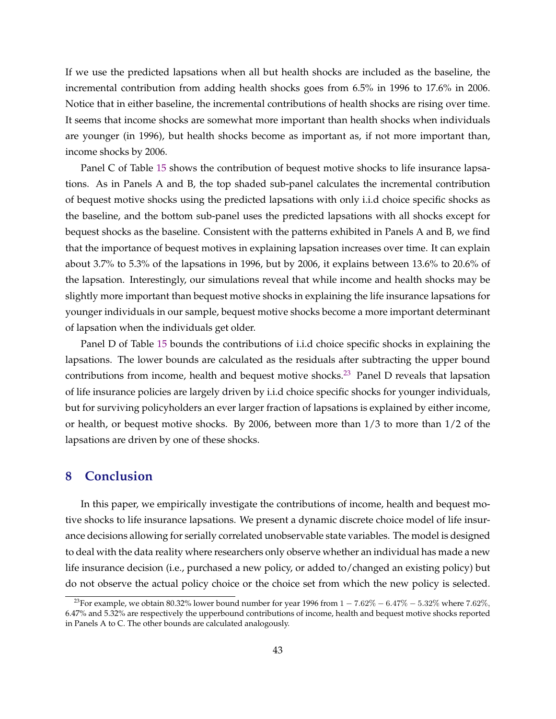<span id="page-43-0"></span>If we use the predicted lapsations when all but health shocks are included as the baseline, the incremental contribution from adding health shocks goes from 6.5% in 1996 to 17.6% in 2006. Notice that in either baseline, the incremental contributions of health shocks are rising over time. It seems that income shocks are somewhat more important than health shocks when individuals are younger (in 1996), but health shocks become as important as, if not more important than, income shocks by 2006.

Panel C of Table [15](#page-41-0) shows the contribution of bequest motive shocks to life insurance lapsations. As in Panels A and B, the top shaded sub-panel calculates the incremental contribution of bequest motive shocks using the predicted lapsations with only i.i.d choice specific shocks as the baseline, and the bottom sub-panel uses the predicted lapsations with all shocks except for bequest shocks as the baseline. Consistent with the patterns exhibited in Panels A and B, we find that the importance of bequest motives in explaining lapsation increases over time. It can explain about 3.7% to 5.3% of the lapsations in 1996, but by 2006, it explains between 13.6% to 20.6% of the lapsation. Interestingly, our simulations reveal that while income and health shocks may be slightly more important than bequest motive shocks in explaining the life insurance lapsations for younger individuals in our sample, bequest motive shocks become a more important determinant of lapsation when the individuals get older.

Panel D of Table [15](#page-41-0) bounds the contributions of i.i.d choice specific shocks in explaining the lapsations. The lower bounds are calculated as the residuals after subtracting the upper bound contributions from income, health and bequest motive shocks.<sup>23</sup> Panel D reveals that lapsation of life insurance policies are largely driven by i.i.d choice specific shocks for younger individuals, but for surviving policyholders an ever larger fraction of lapsations is explained by either income, or health, or bequest motive shocks. By 2006, between more than 1/3 to more than 1/2 of the lapsations are driven by one of these shocks.

### **8 Conclusion**

In this paper, we empirically investigate the contributions of income, health and bequest motive shocks to life insurance lapsations. We present a dynamic discrete choice model of life insurance decisions allowing for serially correlated unobservable state variables. The model is designed to deal with the data reality where researchers only observe whether an individual has made a new life insurance decision (i.e., purchased a new policy, or added to/changed an existing policy) but do not observe the actual policy choice or the choice set from which the new policy is selected.

<sup>&</sup>lt;sup>23</sup>For example, we obtain 80.32% lower bound number for year 1996 from  $1 - 7.62\% - 6.47\% - 5.32\%$  where  $7.62\%$ , 6.47% and 5.32% are respectively the upperbound contributions of income, health and bequest motive shocks reported in Panels A to C. The other bounds are calculated analogously.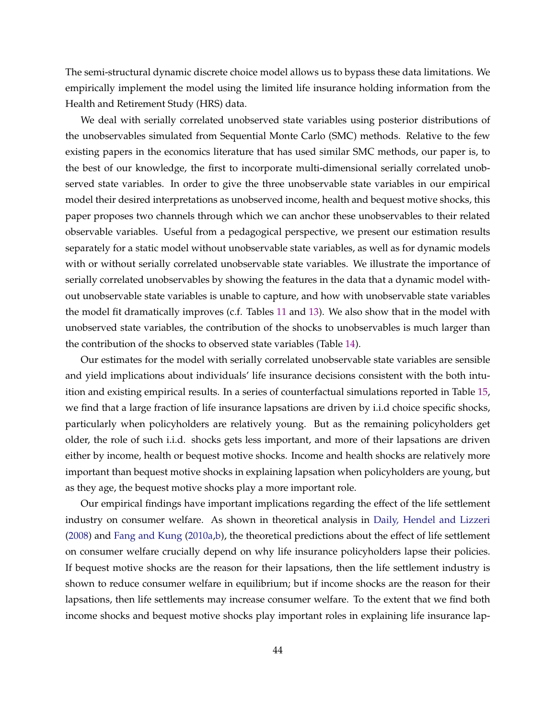The semi-structural dynamic discrete choice model allows us to bypass these data limitations. We empirically implement the model using the limited life insurance holding information from the Health and Retirement Study (HRS) data.

We deal with serially correlated unobserved state variables using posterior distributions of the unobservables simulated from Sequential Monte Carlo (SMC) methods. Relative to the few existing papers in the economics literature that has used similar SMC methods, our paper is, to the best of our knowledge, the first to incorporate multi-dimensional serially correlated unobserved state variables. In order to give the three unobservable state variables in our empirical model their desired interpretations as unobserved income, health and bequest motive shocks, this paper proposes two channels through which we can anchor these unobservables to their related observable variables. Useful from a pedagogical perspective, we present our estimation results separately for a static model without unobservable state variables, as well as for dynamic models with or without serially correlated unobservable state variables. We illustrate the importance of serially correlated unobservables by showing the features in the data that a dynamic model without unobservable state variables is unable to capture, and how with unobservable state variables the model fit dramatically improves (c.f. Tables [11](#page-29-0) and [13\)](#page-37-0). We also show that in the model with unobserved state variables, the contribution of the shocks to unobservables is much larger than the contribution of the shocks to observed state variables (Table [14\)](#page-40-0).

Our estimates for the model with serially correlated unobservable state variables are sensible and yield implications about individuals' life insurance decisions consistent with the both intuition and existing empirical results. In a series of counterfactual simulations reported in Table [15,](#page-41-0) we find that a large fraction of life insurance lapsations are driven by i.i.d choice specific shocks, particularly when policyholders are relatively young. But as the remaining policyholders get older, the role of such i.i.d. shocks gets less important, and more of their lapsations are driven either by income, health or bequest motive shocks. Income and health shocks are relatively more important than bequest motive shocks in explaining lapsation when policyholders are young, but as they age, the bequest motive shocks play a more important role.

Our empirical findings have important implications regarding the effect of the life settlement industry on consumer welfare. As shown in theoretical analysis in [Daily, Hendel and Lizzeri](#page-45-0) [\(2008\)](#page-45-0) and [Fang and Kung](#page-45-0) [\(2010a,b\)](#page-45-0), the theoretical predictions about the effect of life settlement on consumer welfare crucially depend on why life insurance policyholders lapse their policies. If bequest motive shocks are the reason for their lapsations, then the life settlement industry is shown to reduce consumer welfare in equilibrium; but if income shocks are the reason for their lapsations, then life settlements may increase consumer welfare. To the extent that we find both income shocks and bequest motive shocks play important roles in explaining life insurance lap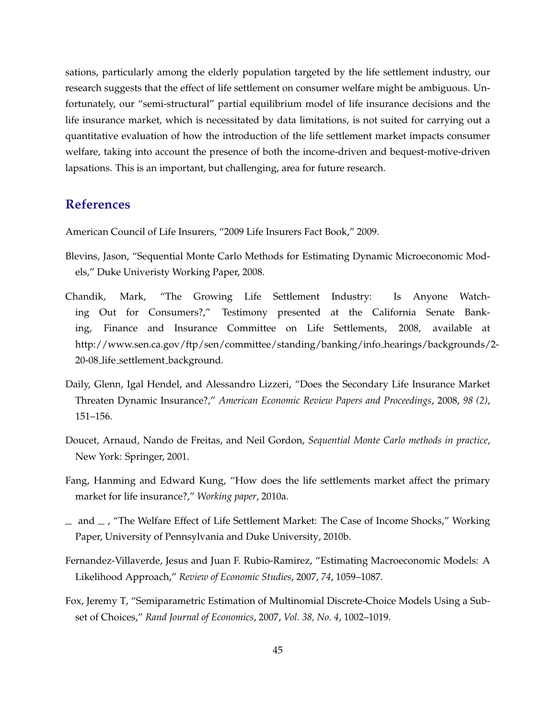<span id="page-45-0"></span>sations, particularly among the elderly population targeted by the life settlement industry, our research suggests that the effect of life settlement on consumer welfare might be ambiguous. Unfortunately, our "semi-structural" partial equilibrium model of life insurance decisions and the life insurance market, which is necessitated by data limitations, is not suited for carrying out a quantitative evaluation of how the introduction of the life settlement market impacts consumer welfare, taking into account the presence of both the income-driven and bequest-motive-driven lapsations. This is an important, but challenging, area for future research.

## **References**

American Council of Life Insurers, "2009 Life Insurers Fact Book," 2009.

- Blevins, Jason, "Sequential Monte Carlo Methods for Estimating Dynamic Microeconomic Models," Duke Univeristy Working Paper, 2008.
- Chandik, Mark, "The Growing Life Settlement Industry: Is Anyone Watching Out for Consumers?," Testimony presented at the California Senate Banking, Finance and Insurance Committee on Life Settlements, 2008, available at http://www.sen.ca.gov/ftp/sen/committee/standing/banking/info hearings/backgrounds/2- 20-08 life settlement background*.*
- Daily, Glenn, Igal Hendel, and Alessandro Lizzeri, "Does the Secondary Life Insurance Market Threaten Dynamic Insurance?," *American Economic Review Papers and Proceedings*, 2008, *98 (2)*, 151–156.
- Doucet, Arnaud, Nando de Freitas, and Neil Gordon, *Sequential Monte Carlo methods in practice*, New York: Springer, 2001.
- Fang, Hanming and Edward Kung, "How does the life settlements market affect the primary market for life insurance?," *Working paper*, 2010a.
- $-$  and  $-$  , "The Welfare Effect of Life Settlement Market: The Case of Income Shocks," Working Paper, University of Pennsylvania and Duke University, 2010b.
- Fernandez-Villaverde, Jesus and Juan F. Rubio-Ramirez, "Estimating Macroeconomic Models: A Likelihood Approach," *Review of Economic Studies*, 2007, *74*, 1059–1087.
- Fox, Jeremy T, "Semiparametric Estimation of Multinomial Discrete-Choice Models Using a Subset of Choices," *Rand Journal of Economics*, 2007, *Vol. 38, No. 4*, 1002–1019.